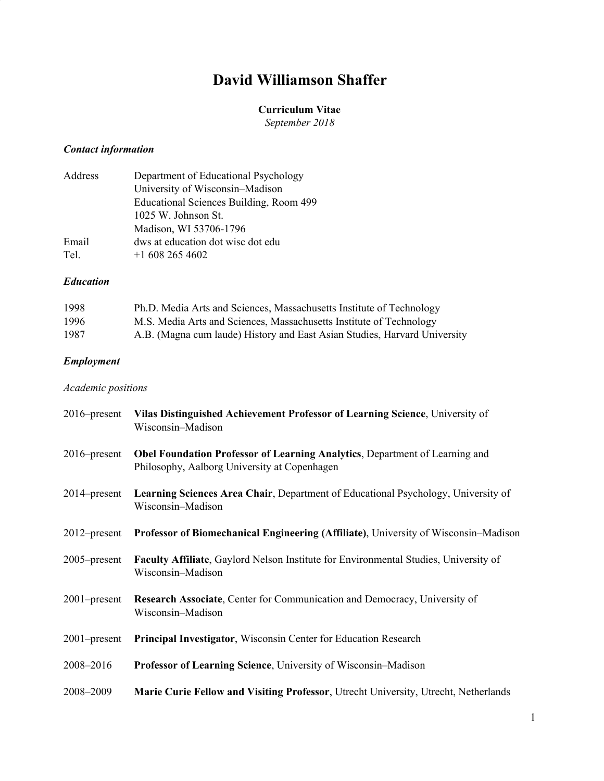# **David Williamson Shaffer**

### **Curriculum Vitae**

*September 2018*

# *Contact information*

| Address | Department of Educational Psychology    |
|---------|-----------------------------------------|
|         | University of Wisconsin–Madison         |
|         | Educational Sciences Building, Room 499 |
|         | 1025 W. Johnson St.                     |
|         | Madison, WI 53706-1796                  |
| Email   | dws at education dot wisc dot edu       |
| Tel.    | $+16082654602$                          |

### *Education*

| 1998 | Ph.D. Media Arts and Sciences, Massachusetts Institute of Technology      |
|------|---------------------------------------------------------------------------|
| 1996 | M.S. Media Arts and Sciences, Massachusetts Institute of Technology       |
| 1987 | A.B. (Magna cum laude) History and East Asian Studies, Harvard University |

# *Employment*

# *Academic positions*

| $2016$ -present | Vilas Distinguished Achievement Professor of Learning Science, University of<br>Wisconsin-Madison                           |
|-----------------|-----------------------------------------------------------------------------------------------------------------------------|
| $2016$ -present | Obel Foundation Professor of Learning Analytics, Department of Learning and<br>Philosophy, Aalborg University at Copenhagen |
| $2014$ -present | <b>Learning Sciences Area Chair, Department of Educational Psychology, University of</b><br>Wisconsin-Madison               |
|                 | 2012–present Professor of Biomechanical Engineering (Affiliate), University of Wisconsin–Madison                            |
| $2005$ -present | <b>Faculty Affiliate, Gaylord Nelson Institute for Environmental Studies, University of</b><br>Wisconsin-Madison            |
| $2001$ -present | Research Associate, Center for Communication and Democracy, University of<br>Wisconsin-Madison                              |
| $2001$ -present | Principal Investigator, Wisconsin Center for Education Research                                                             |
| 2008-2016       | Professor of Learning Science, University of Wisconsin-Madison                                                              |
| 2008-2009       | Marie Curie Fellow and Visiting Professor, Utrecht University, Utrecht, Netherlands                                         |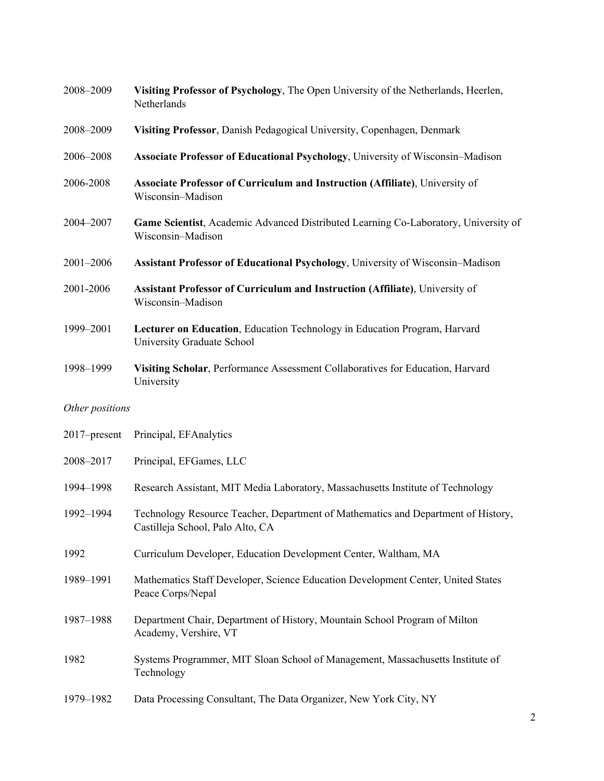| 2008-2009       | Visiting Professor of Psychology, The Open University of the Netherlands, Heerlen,<br>Netherlands                     |
|-----------------|-----------------------------------------------------------------------------------------------------------------------|
| 2008-2009       | Visiting Professor, Danish Pedagogical University, Copenhagen, Denmark                                                |
| 2006-2008       | Associate Professor of Educational Psychology, University of Wisconsin-Madison                                        |
| 2006-2008       | Associate Professor of Curriculum and Instruction (Affiliate), University of<br>Wisconsin-Madison                     |
| 2004-2007       | Game Scientist, Academic Advanced Distributed Learning Co-Laboratory, University of<br>Wisconsin-Madison              |
| 2001-2006       | Assistant Professor of Educational Psychology, University of Wisconsin-Madison                                        |
| 2001-2006       | Assistant Professor of Curriculum and Instruction (Affiliate), University of<br>Wisconsin-Madison                     |
| 1999-2001       | Lecturer on Education, Education Technology in Education Program, Harvard<br>University Graduate School               |
| 1998-1999       | Visiting Scholar, Performance Assessment Collaboratives for Education, Harvard<br>University                          |
| Other positions |                                                                                                                       |
| 2017-present    | Principal, EFAnalytics                                                                                                |
| 2008-2017       | Principal, EFGames, LLC                                                                                               |
| 1994-1998       | Research Assistant, MIT Media Laboratory, Massachusetts Institute of Technology                                       |
| 1992-1994       | Technology Resource Teacher, Department of Mathematics and Department of History,<br>Castilleja School, Palo Alto, CA |
| 1992            | Curriculum Developer, Education Development Center, Waltham, MA                                                       |
| 1989-1991       | Mathematics Staff Developer, Science Education Development Center, United States<br>Peace Corps/Nepal                 |
| 1987-1988       | Department Chair, Department of History, Mountain School Program of Milton<br>Academy, Vershire, VT                   |
| 1982            | Systems Programmer, MIT Sloan School of Management, Massachusetts Institute of<br>Technology                          |
| 1979-1982       | Data Processing Consultant, The Data Organizer, New York City, NY                                                     |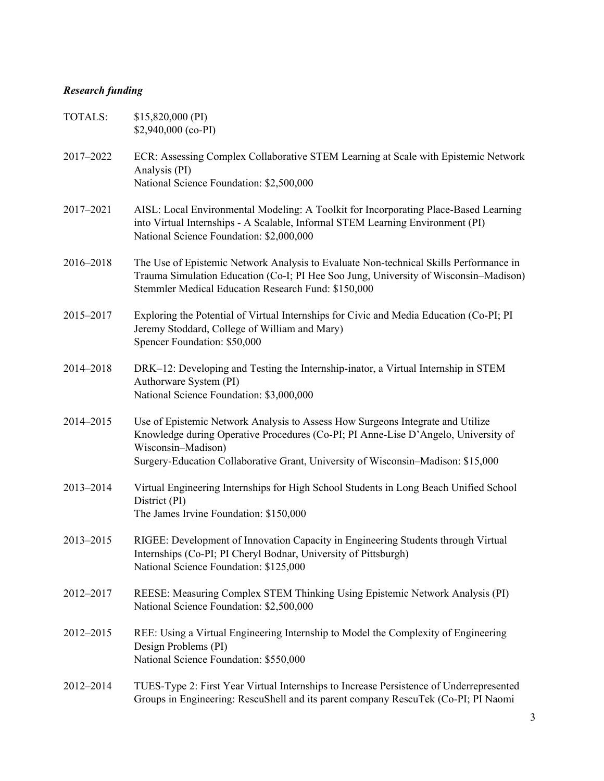# *Research funding*

| <b>TOTALS:</b> | \$15,820,000 (PI)<br>$$2,940,000$ (co-PI)                                                                                                                                                                                                                                      |
|----------------|--------------------------------------------------------------------------------------------------------------------------------------------------------------------------------------------------------------------------------------------------------------------------------|
| 2017-2022      | ECR: Assessing Complex Collaborative STEM Learning at Scale with Epistemic Network<br>Analysis (PI)<br>National Science Foundation: \$2,500,000                                                                                                                                |
| 2017-2021      | AISL: Local Environmental Modeling: A Toolkit for Incorporating Place-Based Learning<br>into Virtual Internships - A Scalable, Informal STEM Learning Environment (PI)<br>National Science Foundation: \$2,000,000                                                             |
| 2016-2018      | The Use of Epistemic Network Analysis to Evaluate Non-technical Skills Performance in<br>Trauma Simulation Education (Co-I; PI Hee Soo Jung, University of Wisconsin-Madison)<br>Stemmler Medical Education Research Fund: \$150,000                                           |
| 2015-2017      | Exploring the Potential of Virtual Internships for Civic and Media Education (Co-PI; PI)<br>Jeremy Stoddard, College of William and Mary)<br>Spencer Foundation: \$50,000                                                                                                      |
| 2014-2018      | DRK-12: Developing and Testing the Internship-inator, a Virtual Internship in STEM<br>Authorware System (PI)<br>National Science Foundation: \$3,000,000                                                                                                                       |
| 2014-2015      | Use of Epistemic Network Analysis to Assess How Surgeons Integrate and Utilize<br>Knowledge during Operative Procedures (Co-PI; PI Anne-Lise D'Angelo, University of<br>Wisconsin-Madison)<br>Surgery-Education Collaborative Grant, University of Wisconsin-Madison: \$15,000 |
| 2013-2014      | Virtual Engineering Internships for High School Students in Long Beach Unified School<br>District (PI)<br>The James Irvine Foundation: \$150,000                                                                                                                               |
| 2013-2015      | RIGEE: Development of Innovation Capacity in Engineering Students through Virtual<br>Internships (Co-PI; PI Cheryl Bodnar, University of Pittsburgh)<br>National Science Foundation: \$125,000                                                                                 |
| 2012-2017      | REESE: Measuring Complex STEM Thinking Using Epistemic Network Analysis (PI)<br>National Science Foundation: \$2,500,000                                                                                                                                                       |
| 2012-2015      | REE: Using a Virtual Engineering Internship to Model the Complexity of Engineering<br>Design Problems (PI)<br>National Science Foundation: \$550,000                                                                                                                           |
| 2012-2014      | TUES-Type 2: First Year Virtual Internships to Increase Persistence of Underrepresented<br>Groups in Engineering: RescuShell and its parent company RescuTek (Co-PI; PI Naomi                                                                                                  |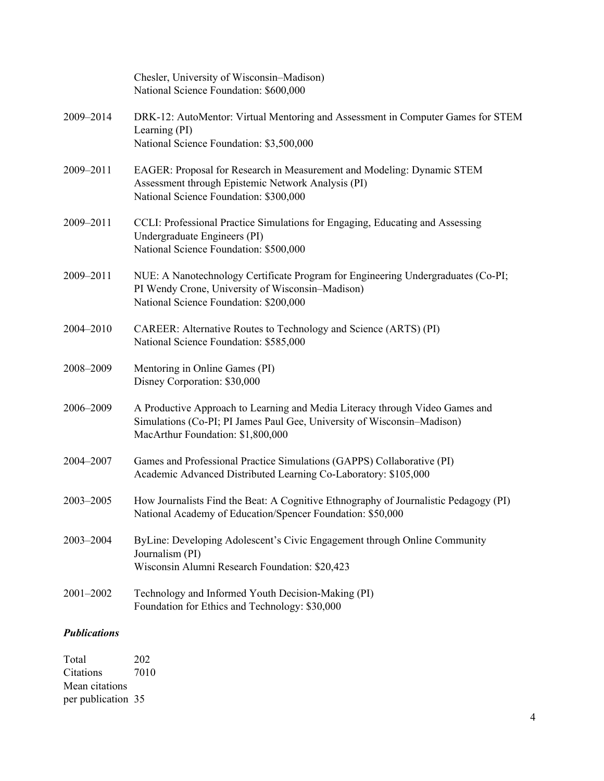|                     | Chesler, University of Wisconsin-Madison)<br>National Science Foundation: \$600,000                                                                                                          |
|---------------------|----------------------------------------------------------------------------------------------------------------------------------------------------------------------------------------------|
| 2009-2014           | DRK-12: AutoMentor: Virtual Mentoring and Assessment in Computer Games for STEM<br>Learning (PI)<br>National Science Foundation: \$3,500,000                                                 |
| 2009-2011           | EAGER: Proposal for Research in Measurement and Modeling: Dynamic STEM<br>Assessment through Epistemic Network Analysis (PI)<br>National Science Foundation: \$300,000                       |
| 2009-2011           | CCLI: Professional Practice Simulations for Engaging, Educating and Assessing<br>Undergraduate Engineers (PI)<br>National Science Foundation: \$500,000                                      |
| 2009-2011           | NUE: A Nanotechnology Certificate Program for Engineering Undergraduates (Co-PI;<br>PI Wendy Crone, University of Wisconsin-Madison)<br>National Science Foundation: \$200,000               |
| 2004-2010           | CAREER: Alternative Routes to Technology and Science (ARTS) (PI)<br>National Science Foundation: \$585,000                                                                                   |
| 2008-2009           | Mentoring in Online Games (PI)<br>Disney Corporation: \$30,000                                                                                                                               |
| 2006-2009           | A Productive Approach to Learning and Media Literacy through Video Games and<br>Simulations (Co-PI; PI James Paul Gee, University of Wisconsin–Madison)<br>MacArthur Foundation: \$1,800,000 |
| 2004-2007           | Games and Professional Practice Simulations (GAPPS) Collaborative (PI)<br>Academic Advanced Distributed Learning Co-Laboratory: \$105,000                                                    |
| 2003-2005           | How Journalists Find the Beat: A Cognitive Ethnography of Journalistic Pedagogy (PI)<br>National Academy of Education/Spencer Foundation: \$50,000                                           |
| 2003-2004           | ByLine: Developing Adolescent's Civic Engagement through Online Community<br>Journalism (PI)<br>Wisconsin Alumni Research Foundation: \$20,423                                               |
| 2001-2002           | Technology and Informed Youth Decision-Making (PI)<br>Foundation for Ethics and Technology: \$30,000                                                                                         |
| <b>Publications</b> |                                                                                                                                                                                              |

Total 202<br>Citations 7010 Citations Mean citations per publication 35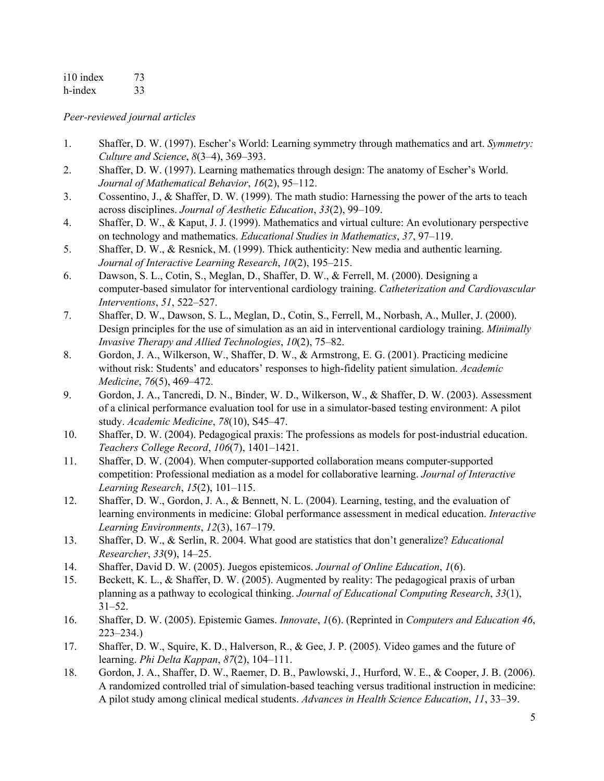i10 index 73 h-index 33

*Peer-reviewed journal articles*

- 1. Shaffer, D. W. (1997). Escher's World: Learning symmetry through mathematics and art. *Symmetry: Culture and Science*, *8*(3–4), 369–393.
- 2. Shaffer, D. W. (1997). Learning mathematics through design: The anatomy of Escher's World. *Journal of Mathematical Behavior*, *16*(2), 95–112.
- 3. Cossentino, J., & Shaffer, D. W. (1999). The math studio: Harnessing the power of the arts to teach across disciplines. *Journal of Aesthetic Education*, *33*(2), 99–109.
- 4. Shaffer, D. W., & Kaput, J. J. (1999). Mathematics and virtual culture: An evolutionary perspective on technology and mathematics. *Educational Studies in Mathematics*, *37*, 97–119.
- 5. Shaffer, D. W., & Resnick, M. (1999). Thick authenticity: New media and authentic learning. *Journal of Interactive Learning Research*, *10*(2), 195–215.
- 6. Dawson, S. L., Cotin, S., Meglan, D., Shaffer, D. W., & Ferrell, M. (2000). Designing a computer-based simulator for interventional cardiology training. *Catheterization and Cardiovascular Interventions*, *51*, 522–527.
- 7. Shaffer, D. W., Dawson, S. L., Meglan, D., Cotin, S., Ferrell, M., Norbash, A., Muller, J. (2000). Design principles for the use of simulation as an aid in interventional cardiology training. *Minimally Invasive Therapy and Allied Technologies*, *10*(2), 75–82.
- 8. Gordon, J. A., Wilkerson, W., Shaffer, D. W., & Armstrong, E. G. (2001). Practicing medicine without risk: Students' and educators' responses to high-fidelity patient simulation. *Academic Medicine*, *76*(5), 469–472.
- 9. Gordon, J. A., Tancredi, D. N., Binder, W. D., Wilkerson, W., & Shaffer, D. W. (2003). Assessment of a clinical performance evaluation tool for use in a simulator-based testing environment: A pilot study. *Academic Medicine*, *78*(10), S45–47.
- 10. Shaffer, D. W. (2004). Pedagogical praxis: The professions as models for post-industrial education. *Teachers College Record*, *106*(7), 1401–1421.
- 11. Shaffer, D. W. (2004). When computer-supported collaboration means computer-supported competition: Professional mediation as a model for collaborative learning. *Journal of Interactive Learning Research*, *15*(2), 101–115.
- 12. Shaffer, D. W., Gordon, J. A., & Bennett, N. L. (2004). Learning, testing, and the evaluation of learning environments in medicine: Global performance assessment in medical education. *Interactive Learning Environments*, *12*(3), 167–179.
- 13. Shaffer, D. W., & Serlin, R. 2004. What good are statistics that don't generalize? *Educational Researcher*, *33*(9), 14–25.
- 14. Shaffer, David D. W. (2005). Juegos epistemicos. *Journal of Online Education*, *1*(6).
- 15. Beckett, K. L., & Shaffer, D. W. (2005). Augmented by reality: The pedagogical praxis of urban planning as a pathway to ecological thinking. *Journal of Educational Computing Research*, *33*(1), 31–52.
- 16. Shaffer, D. W. (2005). Epistemic Games. *Innovate*, *1*(6). (Reprinted in *Computers and Education 46*, 223–234.)
- 17. Shaffer, D. W., Squire, K. D., Halverson, R., & Gee, J. P. (2005). Video games and the future of learning. *Phi Delta Kappan*, *87*(2), 104–111.
- 18. Gordon, J. A., Shaffer, D. W., Raemer, D. B., Pawlowski, J., Hurford, W. E., & Cooper, J. B. (2006). A randomized controlled trial of simulation-based teaching versus traditional instruction in medicine: A pilot study among clinical medical students. *Advances in Health Science Education*, *11*, 33–39.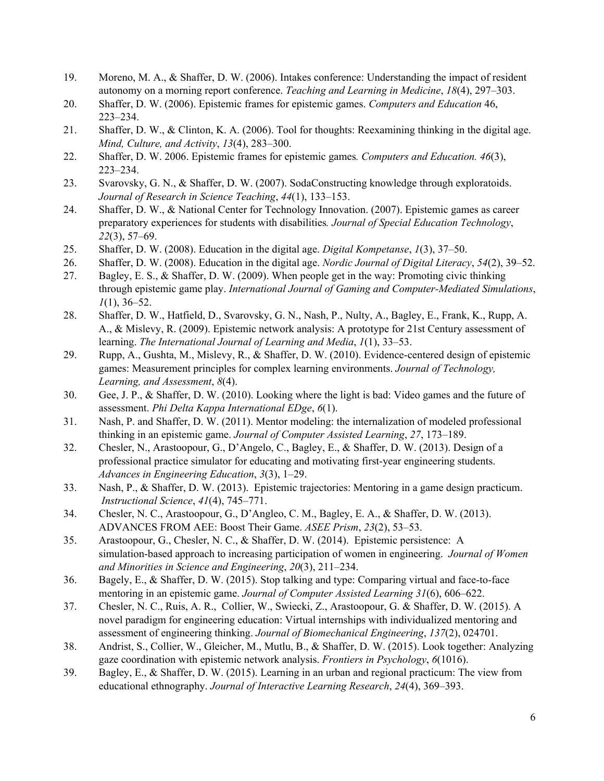- 19. Moreno, M. A., & Shaffer, D. W. (2006). Intakes conference: Understanding the impact of resident autonomy on a morning report conference. *Teaching and Learning in Medicine*, *18*(4), 297–303.
- 20. Shaffer, D. W. (2006). Epistemic frames for epistemic games. *Computers and Education* 46, 223–234.
- 21. Shaffer, D. W., & Clinton, K. A. (2006). Tool for thoughts: Reexamining thinking in the digital age. *Mind, Culture, and Activity*, *13*(4), 283–300.
- 22. Shaffer, D. W. 2006. Epistemic frames for epistemic games*. Computers and Education. 46*(3), 223–234.
- 23. Svarovsky, G. N., & Shaffer, D. W. (2007). SodaConstructing knowledge through exploratoids. *Journal of Research in Science Teaching*, *44*(1), 133–153.
- 24. Shaffer, D. W., & National Center for Technology Innovation. (2007). Epistemic games as career preparatory experiences for students with disabilities*. Journal of Special Education Technology*, *22*(3), 57–69.
- 25. Shaffer, D. W. (2008). Education in the digital age. *Digital Kompetanse*, *1*(3), 37–50.
- 26. Shaffer, D. W. (2008). Education in the digital age. *Nordic Journal of Digital Literacy*, *54*(2), 39–52.
- 27. Bagley, E. S., & Shaffer, D. W. (2009). When people get in the way: Promoting civic thinking through epistemic game play. *International Journal of Gaming and Computer-Mediated Simulations*, *1*(1), 36–52.
- 28. Shaffer, D. W., Hatfield, D., Svarovsky, G. N., Nash, P., Nulty, A., Bagley, E., Frank, K., Rupp, A. A., & Mislevy, R. (2009). Epistemic network analysis: A prototype for 21st Century assessment of learning. *The International Journal of Learning and Media*, *1*(1), 33–53.
- 29. Rupp, A., Gushta, M., Mislevy, R., & Shaffer, D. W. (2010). Evidence-centered design of epistemic games: Measurement principles for complex learning environments. *Journal of Technology, Learning, and Assessment*, *8*(4).
- 30. Gee, J. P., & Shaffer, D. W. (2010). Looking where the light is bad: Video games and the future of assessment. *Phi Delta Kappa International EDge*, *6*(1).
- 31. Nash, P. and Shaffer, D. W. (2011). Mentor modeling: the internalization of modeled professional thinking in an epistemic game. *Journal of Computer Assisted Learning*, *27*, 173–189.
- 32. Chesler, N., Arastoopour, G., D'Angelo, C., Bagley, E., & Shaffer, D. W. (2013). Design of a professional practice simulator for educating and motivating first-year engineering students. *Advances in Engineering Education*, *3*(3), 1–29.
- 33. Nash, P., & Shaffer, D. W. (2013). Epistemic trajectories: Mentoring in a game design practicum. *Instructional Science*, *41*(4), 745–771.
- 34. Chesler, N. C., Arastoopour, G., D'Angleo, C. M., Bagley, E. A., & Shaffer, D. W. (2013). ADVANCES FROM AEE: Boost Their Game. *ASEE Prism*, *23*(2), 53–53.
- 35. Arastoopour, G., Chesler, N. C., & Shaffer, D. W. (2014). Epistemic persistence: A simulation-based approach to increasing participation of women in engineering. *Journal of Women and Minorities in Science and Engineering*, *20*(3), 211–234.
- 36. Bagely, E., & Shaffer, D. W. (2015). Stop talking and type: Comparing virtual and face-to-face mentoring in an epistemic game. *Journal of Computer Assisted Learning 31*(6), 606–622.
- 37. Chesler, N. C., Ruis, A. R., Collier, W., Swiecki, Z., Arastoopour, G. & Shaffer, D. W. (2015). A novel paradigm for engineering education: Virtual internships with individualized mentoring and assessment of engineering thinking. *Journal of Biomechanical Engineering*, *137*(2), 024701.
- 38. Andrist, S., Collier, W., Gleicher, M., Mutlu, B., & Shaffer, D. W. (2015). Look together: Analyzing gaze coordination with epistemic network analysis. *Frontiers in Psychology*, *6*(1016).
- 39. Bagley, E., & Shaffer, D. W. (2015). Learning in an urban and regional practicum: The view from educational ethnography. *Journal of Interactive Learning Research*, *24*(4), 369–393.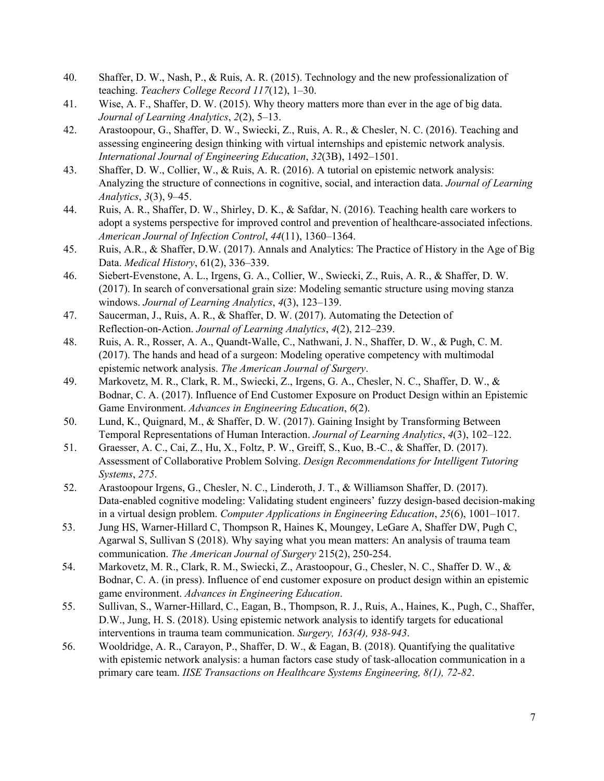- 40. Shaffer, D. W., Nash, P., & Ruis, A. R. (2015). Technology and the new professionalization of teaching. *Teachers College Record 117*(12), 1–30.
- 41. Wise, A. F., Shaffer, D. W. (2015). Why theory matters more than ever in the age of big data. *Journal of Learning Analytics*, *2*(2), 5–13.
- 42. Arastoopour, G., Shaffer, D. W., Swiecki, Z., Ruis, A. R., & Chesler, N. C. (2016). Teaching and assessing engineering design thinking with virtual internships and epistemic network analysis. *International Journal of Engineering Education*, *32*(3B), 1492–1501.
- 43. Shaffer, D. W., Collier, W., & Ruis, A. R. (2016). A tutorial on epistemic network analysis: Analyzing the structure of connections in cognitive, social, and interaction data. *Journal of Learning Analytics*, *3*(3), 9–45.
- 44. Ruis, A. R., Shaffer, D. W., Shirley, D. K., & Safdar, N. (2016). Teaching health care workers to adopt a systems perspective for improved control and prevention of healthcare-associated infections. *American Journal of Infection Control*, *44*(11), 1360–1364.
- 45. Ruis, A.R., & Shaffer, D.W. (2017). Annals and Analytics: The Practice of History in the Age of Big Data. *Medical History*, 61(2), 336–339.
- 46. Siebert-Evenstone, A. L., Irgens, G. A., Collier, W., Swiecki, Z., Ruis, A. R., & Shaffer, D. W. (2017). In search of conversational grain size: Modeling semantic structure using moving stanza windows. *Journal of Learning Analytics*, *4*(3), 123–139.
- 47. Saucerman, J., Ruis, A. R., & Shaffer, D. W. (2017). Automating the Detection of Reflection-on-Action. *Journal of Learning Analytics*, *4*(2), 212–239.
- 48. Ruis, A. R., Rosser, A. A., Quandt-Walle, C., Nathwani, J. N., Shaffer, D. W., & Pugh, C. M. (2017). The hands and head of a surgeon: Modeling operative competency with multimodal epistemic network analysis. *The American Journal of Surgery*.
- 49. Markovetz, M. R., Clark, R. M., Swiecki, Z., Irgens, G. A., Chesler, N. C., Shaffer, D. W., & Bodnar, C. A. (2017). Influence of End Customer Exposure on Product Design within an Epistemic Game Environment. *Advances in Engineering Education*, *6*(2).
- 50. Lund, K., Quignard, M., & Shaffer, D. W. (2017). Gaining Insight by Transforming Between Temporal Representations of Human Interaction. *Journal of Learning Analytics*, *4*(3), 102–122.
- 51. Graesser, A. C., Cai, Z., Hu, X., Foltz, P. W., Greiff, S., Kuo, B.-C., & Shaffer, D. (2017). Assessment of Collaborative Problem Solving. *Design Recommendations for Intelligent Tutoring Systems*, *275*.
- 52. Arastoopour Irgens, G., Chesler, N. C., Linderoth, J. T., & Williamson Shaffer, D. (2017). Data-enabled cognitive modeling: Validating student engineers' fuzzy design-based decision-making in a virtual design problem. *Computer Applications in Engineering Education*, *25*(6), 1001–1017.
- 53. Jung HS, Warner-Hillard C, Thompson R, Haines K, Moungey, LeGare A, Shaffer DW, Pugh C, Agarwal S, Sullivan S (2018). Why saying what you mean matters: An analysis of trauma team communication. *The American Journal of Surgery* 215(2), 250-254.
- 54. Markovetz, M. R., Clark, R. M., Swiecki, Z., Arastoopour, G., Chesler, N. C., Shaffer D. W., & Bodnar, C. A. (in press). Influence of end customer exposure on product design within an epistemic game environment. *Advances in Engineering Education*.
- 55. Sullivan, S., Warner-Hillard, C., Eagan, B., Thompson, R. J., Ruis, A., Haines, K., Pugh, C., Shaffer, D.W., Jung, H. S. (2018). Using epistemic network analysis to identify targets for educational interventions in trauma team communication. *Surgery, 163(4), 938-943*.
- 56. Wooldridge, A. R., Carayon, P., Shaffer, D. W., & Eagan, B. (2018). Quantifying the qualitative with epistemic network analysis: a human factors case study of task-allocation communication in a primary care team. *IISE Transactions on Healthcare Systems Engineering, 8(1), 72-82*.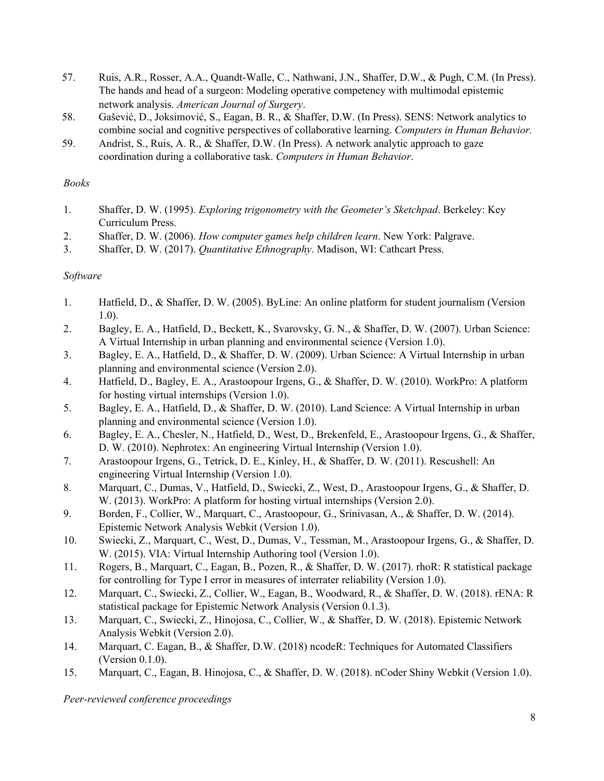- 57. Ruis, A.R., Rosser, A.A., Quandt-Walle, C., Nathwani, J.N., Shaffer, D.W., & Pugh, C.M. (In Press). The hands and head of a surgeon: Modeling operative competency with multimodal epistemic network analysis. *American Journal of Surgery*.
- 58. Gašević, D., Joksimović, S., Eagan, B. R., & Shaffer, D.W. (In Press). SENS: Network analytics to combine social and cognitive perspectives of collaborative learning. *Computers in Human Behavior.*
- 59. Andrist, S., Ruis, A. R., & Shaffer, D.W. (In Press). A network analytic approach to gaze coordination during a collaborative task. *Computers in Human Behavior*.

### *Books*

- 1. Shaffer, D. W. (1995)*. Exploring trigonometry with the Geometer's Sketchpad*. Berkeley: Key Curriculum Press.
- 2. Shaffer, D. W. (2006). *How computer games help children learn*. New York: Palgrave.
- 3. Shaffer, D. W. (2017). *Quantitative Ethnography*. Madison, WI: Cathcart Press.

### *Software*

- 1. Hatfield, D., & Shaffer, D. W. (2005). ByLine: An online platform for student journalism (Version 1.0).
- 2. Bagley, E. A., Hatfield, D., Beckett, K., Svarovsky, G. N., & Shaffer, D. W. (2007). Urban Science: A Virtual Internship in urban planning and environmental science (Version 1.0).
- 3. Bagley, E. A., Hatfield, D., & Shaffer, D. W. (2009). Urban Science: A Virtual Internship in urban planning and environmental science (Version 2.0).
- 4. Hatfield, D., Bagley, E. A., Arastoopour Irgens, G., & Shaffer, D. W. (2010). WorkPro: A platform for hosting virtual internships (Version 1.0).
- 5. Bagley, E. A., Hatfield, D., & Shaffer, D. W. (2010). Land Science: A Virtual Internship in urban planning and environmental science (Version 1.0).
- 6. Bagley, E. A., Chesler, N., Hatfield, D., West, D., Brekenfeld, E., Arastoopour Irgens, G., & Shaffer, D. W. (2010). Nephrotex: An engineering Virtual Internship (Version 1.0).
- 7. Arastoopour Irgens, G., Tetrick, D. E., Kinley, H., & Shaffer, D. W. (2011). Rescushell: An engineering Virtual Internship (Version 1.0).
- 8. Marquart, C., Dumas, V., Hatfield, D., Swiecki, Z., West, D., Arastoopour Irgens, G., & Shaffer, D. W. (2013). WorkPro: A platform for hosting virtual internships (Version 2.0).
- 9. Borden, F., Collier, W., Marquart, C., Arastoopour, G., Srinivasan, A., & Shaffer, D. W. (2014). Epistemic Network Analysis Webkit (Version 1.0).
- 10. Swiecki, Z., Marquart, C., West, D., Dumas, V., Tessman, M., Arastoopour Irgens, G., & Shaffer, D. W. (2015). VIA: Virtual Internship Authoring tool (Version 1.0).
- 11. Rogers, B., Marquart, C., Eagan, B., Pozen, R., & Shaffer, D. W. (2017). rhoR: R statistical package for controlling for Type I error in measures of interrater reliability (Version 1.0).
- 12. Marquart, C., Swiecki, Z., Collier, W., Eagan, B., Woodward, R., & Shaffer, D. W. (2018). rENA: R statistical package for Epistemic Network Analysis (Version 0.1.3).
- 13. Marquart, C., Swiecki, Z., Hinojosa, C., Collier, W., & Shaffer, D. W. (2018). Epistemic Network Analysis Webkit (Version 2.0).
- 14. Marquart, C. Eagan, B., & Shaffer, D.W. (2018) ncodeR: Techniques for Automated Classifiers (Version 0.1.0).
- 15. Marquart, C., Eagan, B. Hinojosa, C., & Shaffer, D. W. (2018). nCoder Shiny Webkit (Version 1.0).

*Peer-reviewed conference proceedings*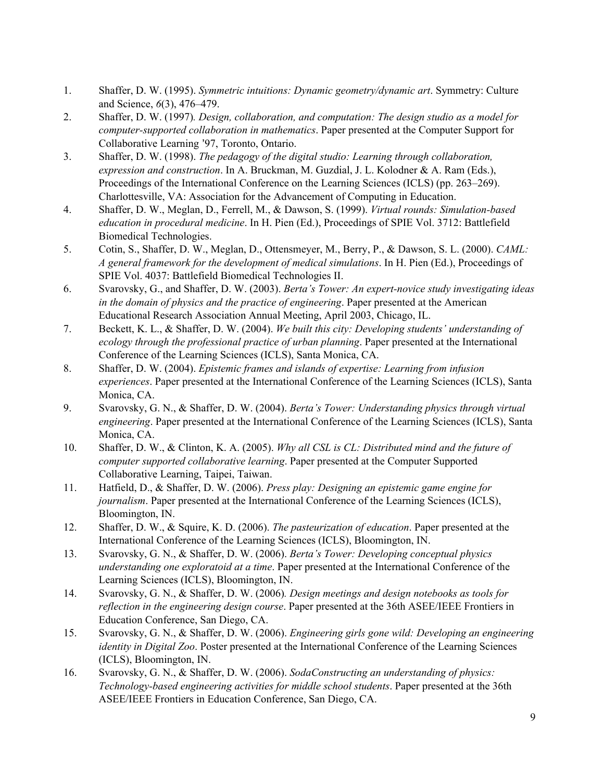- 1. Shaffer, D. W. (1995). *Symmetric intuitions: Dynamic geometry/dynamic art*. Symmetry: Culture and Science, *6*(3), 476–479.
- 2. Shaffer, D. W. (1997)*. Design, collaboration, and computation: The design studio as a model for computer-supported collaboration in mathematics*. Paper presented at the Computer Support for Collaborative Learning '97, Toronto, Ontario.
- 3. Shaffer, D. W. (1998). *The pedagogy of the digital studio: Learning through collaboration, expression and construction*. In A. Bruckman, M. Guzdial, J. L. Kolodner & A. Ram (Eds.), Proceedings of the International Conference on the Learning Sciences (ICLS) (pp. 263–269). Charlottesville, VA: Association for the Advancement of Computing in Education.
- 4. Shaffer, D. W., Meglan, D., Ferrell, M., & Dawson, S. (1999). *Virtual rounds: Simulation-based education in procedural medicine*. In H. Pien (Ed.), Proceedings of SPIE Vol. 3712: Battlefield Biomedical Technologies.
- 5. Cotin, S., Shaffer, D. W., Meglan, D., Ottensmeyer, M., Berry, P., & Dawson, S. L. (2000). *CAML: A general framework for the development of medical simulations*. In H. Pien (Ed.), Proceedings of SPIE Vol. 4037: Battlefield Biomedical Technologies II.
- 6. Svarovsky, G., and Shaffer, D. W. (2003). *Berta's Tower: An expert-novice study investigating ideas in the domain of physics and the practice of engineering*. Paper presented at the American Educational Research Association Annual Meeting, April 2003, Chicago, IL.
- 7. Beckett, K. L., & Shaffer, D. W. (2004). *We built this city: Developing students' understanding of ecology through the professional practice of urban planning*. Paper presented at the International Conference of the Learning Sciences (ICLS), Santa Monica, CA.
- 8. Shaffer, D. W. (2004). *Epistemic frames and islands of expertise: Learning from infusion experiences*. Paper presented at the International Conference of the Learning Sciences (ICLS), Santa Monica, CA.
- 9. Svarovsky, G. N., & Shaffer, D. W. (2004). *Berta's Tower: Understanding physics through virtual engineering*. Paper presented at the International Conference of the Learning Sciences (ICLS), Santa Monica, CA.
- 10. Shaffer, D. W., & Clinton, K. A. (2005). *Why all CSL is CL: Distributed mind and the future of computer supported collaborative learning*. Paper presented at the Computer Supported Collaborative Learning, Taipei, Taiwan.
- 11. Hatfield, D., & Shaffer, D. W. (2006). *Press play: Designing an epistemic game engine for journalism*. Paper presented at the International Conference of the Learning Sciences (ICLS), Bloomington, IN.
- 12. Shaffer, D. W., & Squire, K. D. (2006). *The pasteurization of education*. Paper presented at the International Conference of the Learning Sciences (ICLS), Bloomington, IN.
- 13. Svarovsky, G. N., & Shaffer, D. W. (2006). *Berta's Tower: Developing conceptual physics understanding one exploratoid at a time*. Paper presented at the International Conference of the Learning Sciences (ICLS), Bloomington, IN.
- 14. Svarovsky, G. N., & Shaffer, D. W. (2006)*. Design meetings and design notebooks as tools for reflection in the engineering design course*. Paper presented at the 36th ASEE/IEEE Frontiers in Education Conference, San Diego, CA.
- 15. Svarovsky, G. N., & Shaffer, D. W. (2006). *Engineering girls gone wild: Developing an engineering identity in Digital Zoo*. Poster presented at the International Conference of the Learning Sciences (ICLS), Bloomington, IN.
- 16. Svarovsky, G. N., & Shaffer, D. W. (2006). *SodaConstructing an understanding of physics: Technology-based engineering activities for middle school students*. Paper presented at the 36th ASEE/IEEE Frontiers in Education Conference, San Diego, CA.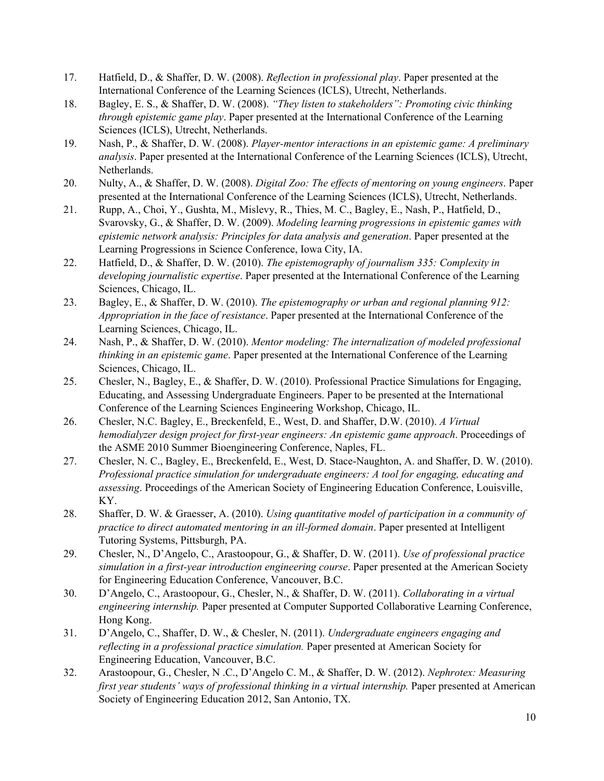- 17. Hatfield, D., & Shaffer, D. W. (2008). *Reflection in professional play*. Paper presented at the International Conference of the Learning Sciences (ICLS), Utrecht, Netherlands.
- 18. Bagley, E. S., & Shaffer, D. W. (2008). *"They listen to stakeholders": Promoting civic thinking through epistemic game play*. Paper presented at the International Conference of the Learning Sciences (ICLS), Utrecht, Netherlands.
- 19. Nash, P., & Shaffer, D. W. (2008). *Player-mentor interactions in an epistemic game: A preliminary analysis*. Paper presented at the International Conference of the Learning Sciences (ICLS), Utrecht, Netherlands.
- 20. Nulty, A., & Shaffer, D. W. (2008). *Digital Zoo: The ef ects of mentoring on young engineers*. Paper presented at the International Conference of the Learning Sciences (ICLS), Utrecht, Netherlands.
- 21. Rupp, A., Choi, Y., Gushta, M., Mislevy, R., Thies, M. C., Bagley, E., Nash, P., Hatfield, D., Svarovsky, G., & Shaffer, D. W. (2009). *Modeling learning progressions in epistemic games with epistemic network analysis: Principles for data analysis and generation*. Paper presented at the Learning Progressions in Science Conference, Iowa City, IA.
- 22. Hatfield, D., & Shaffer, D. W. (2010). *The epistemography of journalism 335: Complexity in developing journalistic expertise*. Paper presented at the International Conference of the Learning Sciences, Chicago, IL.
- 23. Bagley, E., & Shaffer, D. W. (2010). *The epistemography or urban and regional planning 912: Appropriation in the face of resistance*. Paper presented at the International Conference of the Learning Sciences, Chicago, IL.
- 24. Nash, P., & Shaffer, D. W. (2010). *Mentor modeling: The internalization of modeled professional thinking in an epistemic game*. Paper presented at the International Conference of the Learning Sciences, Chicago, IL.
- 25. Chesler, N., Bagley, E., & Shaffer, D. W. (2010). Professional Practice Simulations for Engaging, Educating, and Assessing Undergraduate Engineers. Paper to be presented at the International Conference of the Learning Sciences Engineering Workshop, Chicago, IL.
- 26. Chesler, N.C. Bagley, E., Breckenfeld, E., West, D. and Shaffer, D.W. (2010). *A Virtual hemodialyzer design project for first-year engineers: An epistemic game approach*. Proceedings of the ASME 2010 Summer Bioengineering Conference, Naples, FL.
- 27. Chesler, N. C., Bagley, E., Breckenfeld, E., West, D. Stace-Naughton, A. and Shaffer, D. W. (2010). *Professional practice simulation for undergraduate engineers: A tool for engaging, educating and assessing*. Proceedings of the American Society of Engineering Education Conference, Louisville, KY.
- 28. Shaffer, D. W. & Graesser, A. (2010). *Using quantitative model of participation in a community of practice to direct automated mentoring in an ill-formed domain*. Paper presented at Intelligent Tutoring Systems, Pittsburgh, PA.
- 29. Chesler, N., D'Angelo, C., Arastoopour, G., & Shaffer, D. W. (2011). *Use of professional practice simulation in a first-year introduction engineering course*. Paper presented at the American Society for Engineering Education Conference, Vancouver, B.C.
- 30. D'Angelo, C., Arastoopour, G., Chesler, N., & Shaffer, D. W. (2011). *Collaborating in a virtual engineering internship.* Paper presented at Computer Supported Collaborative Learning Conference, Hong Kong.
- 31. D'Angelo, C., Shaffer, D. W., & Chesler, N. (2011). *Undergraduate engineers engaging and reflecting in a professional practice simulation.* Paper presented at American Society for Engineering Education, Vancouver, B.C.
- 32. Arastoopour, G., Chesler, N .C., D'Angelo C. M., & Shaffer, D. W. (2012). *Nephrotex: Measuring first year students' ways of professional thinking in a virtual internship.* Paper presented at American Society of Engineering Education 2012, San Antonio, TX.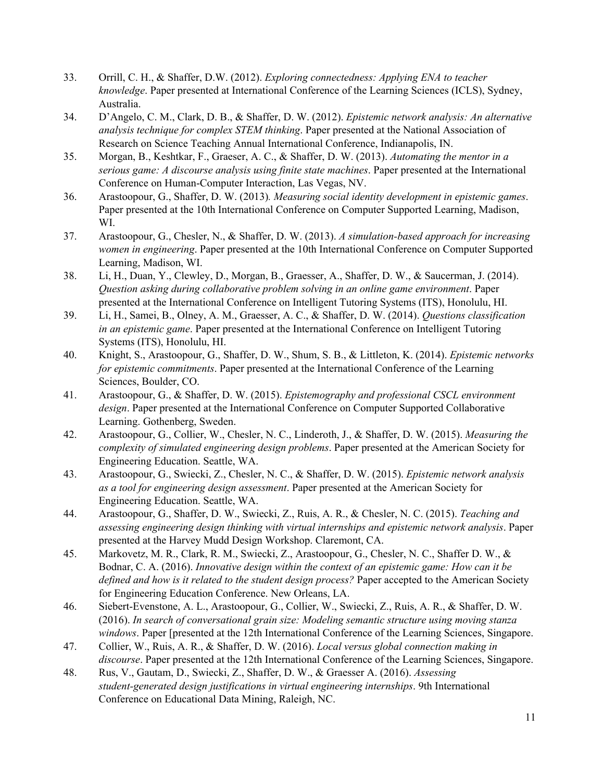- 33. Orrill, C. H., & Shaffer, D.W. (2012). *Exploring connectedness: Applying ENA to teacher knowledge*. Paper presented at International Conference of the Learning Sciences (ICLS), Sydney, Australia.
- 34. D'Angelo, C. M., Clark, D. B., & Shaffer, D. W. (2012). *Epistemic network analysis: An alternative analysis technique for complex STEM thinking*. Paper presented at the National Association of Research on Science Teaching Annual International Conference, Indianapolis, IN.
- 35. Morgan, B., Keshtkar, F., Graeser, A. C., & Shaffer, D. W. (2013). *Automating the mentor in a serious game: A discourse analysis using finite state machines*. Paper presented at the International Conference on Human-Computer Interaction, Las Vegas, NV.
- 36. Arastoopour, G., Shaffer, D. W. (2013)*. Measuring social identity development in epistemic games*. Paper presented at the 10th International Conference on Computer Supported Learning, Madison, WI.
- 37. Arastoopour, G., Chesler, N., & Shaffer, D. W. (2013). *A simulation-based approach for increasing women in engineering*. Paper presented at the 10th International Conference on Computer Supported Learning, Madison, WI.
- 38. Li, H., Duan, Y., Clewley, D., Morgan, B., Graesser, A., Shaffer, D. W., & Saucerman, J. (2014). *Question asking during collaborative problem solving in an online game environment*. Paper presented at the International Conference on Intelligent Tutoring Systems (ITS), Honolulu, HI.
- 39. Li, H., Samei, B., Olney, A. M., Graesser, A. C., & Shaffer, D. W. (2014). *Questions classification in an epistemic game*. Paper presented at the International Conference on Intelligent Tutoring Systems (ITS), Honolulu, HI.
- 40. Knight, S., Arastoopour, G., Shaffer, D. W., Shum, S. B., & Littleton, K. (2014). *Epistemic networks for epistemic commitments*. Paper presented at the International Conference of the Learning Sciences, Boulder, CO.
- 41. Arastoopour, G., & Shaffer, D. W. (2015). *Epistemography and professional CSCL environment design*. Paper presented at the International Conference on Computer Supported Collaborative Learning. Gothenberg, Sweden.
- 42. Arastoopour, G., Collier, W., Chesler, N. C., Linderoth, J., & Shaffer, D. W. (2015). *Measuring the complexity of simulated engineering design problems*. Paper presented at the American Society for Engineering Education. Seattle, WA.
- 43. Arastoopour, G., Swiecki, Z., Chesler, N. C., & Shaffer, D. W. (2015). *Epistemic network analysis as a tool for engineering design assessment*. Paper presented at the American Society for Engineering Education. Seattle, WA.
- 44. Arastoopour, G., Shaffer, D. W., Swiecki, Z., Ruis, A. R., & Chesler, N. C. (2015). *Teaching and assessing engineering design thinking with virtual internships and epistemic network analysis*. Paper presented at the Harvey Mudd Design Workshop. Claremont, CA.
- 45. Markovetz, M. R., Clark, R. M., Swiecki, Z., Arastoopour, G., Chesler, N. C., Shaffer D. W., & Bodnar, C. A. (2016). *Innovative design within the context of an epistemic game: How can it be defined and how is it related to the student design process?* Paper accepted to the American Society for Engineering Education Conference. New Orleans, LA.
- 46. Siebert-Evenstone, A. L., Arastoopour, G., Collier, W., Swiecki, Z., Ruis, A. R., & Shaffer, D. W. (2016). *In search of conversational grain size: Modeling semantic structure using moving stanza windows*. Paper [presented at the 12th International Conference of the Learning Sciences, Singapore.
- 47. Collier, W., Ruis, A. R., & Shaffer, D. W. (2016). *Local versus global connection making in discourse*. Paper presented at the 12th International Conference of the Learning Sciences, Singapore.
- 48. Rus, V., Gautam, D., Swiecki, Z., Shaffer, D. W., & Graesser A. (2016). *Assessing student-generated design justifications in virtual engineering internships*. 9th International Conference on Educational Data Mining, Raleigh, NC.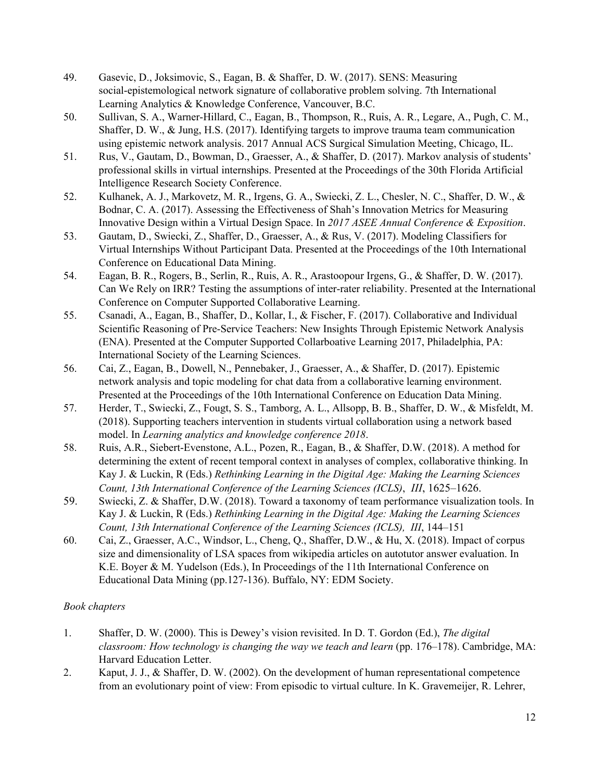- 49. Gasevic, D., Joksimovic, S., Eagan, B. & Shaffer, D. W. (2017). SENS: Measuring social-epistemological network signature of collaborative problem solving. 7th International Learning Analytics & Knowledge Conference, Vancouver, B.C.
- 50. Sullivan, S. A., Warner-Hillard, C., Eagan, B., Thompson, R., Ruis, A. R., Legare, A., Pugh, C. M., Shaffer, D. W., & Jung, H.S. (2017). Identifying targets to improve trauma team communication using epistemic network analysis. 2017 Annual ACS Surgical Simulation Meeting, Chicago, IL.
- 51. Rus, V., Gautam, D., Bowman, D., Graesser, A., & Shaffer, D. (2017). Markov analysis of students' professional skills in virtual internships. Presented at the Proceedings of the 30th Florida Artificial Intelligence Research Society Conference.
- 52. Kulhanek, A. J., Markovetz, M. R., Irgens, G. A., Swiecki, Z. L., Chesler, N. C., Shaffer, D. W., & Bodnar, C. A. (2017). Assessing the Effectiveness of Shah's Innovation Metrics for Measuring Innovative Design within a Virtual Design Space. In *2017 ASEE Annual Conference & Exposition*.
- 53. Gautam, D., Swiecki, Z., Shaffer, D., Graesser, A., & Rus, V. (2017). Modeling Classifiers for Virtual Internships Without Participant Data. Presented at the Proceedings of the 10th International Conference on Educational Data Mining.
- 54. Eagan, B. R., Rogers, B., Serlin, R., Ruis, A. R., Arastoopour Irgens, G., & Shaffer, D. W. (2017). Can We Rely on IRR? Testing the assumptions of inter-rater reliability. Presented at the International Conference on Computer Supported Collaborative Learning.
- 55. Csanadi, A., Eagan, B., Shaffer, D., Kollar, I., & Fischer, F. (2017). Collaborative and Individual Scientific Reasoning of Pre-Service Teachers: New Insights Through Epistemic Network Analysis (ENA). Presented at the Computer Supported Collarboative Learning 2017, Philadelphia, PA: International Society of the Learning Sciences.
- 56. Cai, Z., Eagan, B., Dowell, N., Pennebaker, J., Graesser, A., & Shaffer, D. (2017). Epistemic network analysis and topic modeling for chat data from a collaborative learning environment. Presented at the Proceedings of the 10th International Conference on Education Data Mining.
- 57. Herder, T., Swiecki, Z., Fougt, S. S., Tamborg, A. L., Allsopp, B. B., Shaffer, D. W., & Misfeldt, M. (2018). Supporting teachers intervention in students virtual collaboration using a network based model. In *Learning analytics and knowledge conference 2018*.
- 58. Ruis, A.R., Siebert-Evenstone, A.L., Pozen, R., Eagan, B., & Shaffer, D.W. (2018). A method for determining the extent of recent temporal context in analyses of complex, collaborative thinking. In Kay J. & Luckin, R (Eds.) *Rethinking Learning in the Digital Age: Making the Learning Sciences Count, 13th International Conference of the Learning Sciences (ICLS)*, *III*, 1625–1626.
- 59. Swiecki, Z. & Shaffer, D.W. (2018). Toward a taxonomy of team performance visualization tools. In Kay J. & Luckin, R (Eds.) *Rethinking Learning in the Digital Age: Making the Learning Sciences Count, 13th International Conference of the Learning Sciences (ICLS), III*, 144–151
- 60. Cai, Z., Graesser, A.C., Windsor, L., Cheng, Q., Shaffer, D.W., & Hu, X. (2018). Impact of corpus size and dimensionality of LSA spaces from wikipedia articles on autotutor answer evaluation. In K.E. Boyer & M. Yudelson (Eds.), In Proceedings of the 11th International Conference on Educational Data Mining (pp.127-136). Buffalo, NY: EDM Society.

### *Book chapters*

- 1. Shaffer, D. W. (2000). This is Dewey's vision revisited. In D. T. Gordon (Ed.), *The digital classroom: How technology is changing the way we teach and learn* (pp. 176–178). Cambridge, MA: Harvard Education Letter.
- 2. Kaput, J. J., & Shaffer, D. W. (2002). On the development of human representational competence from an evolutionary point of view: From episodic to virtual culture. In K. Gravemeijer, R. Lehrer,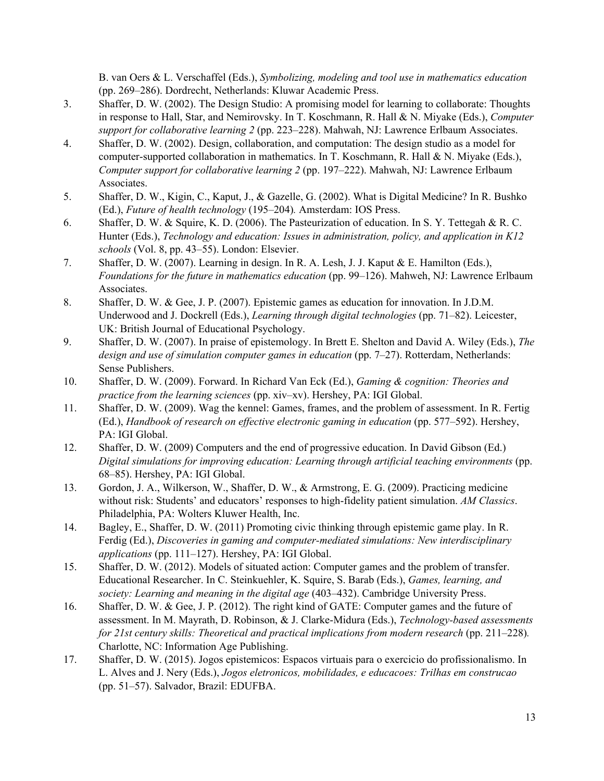B. van Oers & L. Verschaffel (Eds.), *Symbolizing, modeling and tool use in mathematics education* (pp. 269–286). Dordrecht, Netherlands: Kluwar Academic Press.

- 3. Shaffer, D. W. (2002). The Design Studio: A promising model for learning to collaborate: Thoughts in response to Hall, Star, and Nemirovsky. In T. Koschmann, R. Hall & N. Miyake (Eds.), *Computer support for collaborative learning 2* (pp. 223–228). Mahwah, NJ: Lawrence Erlbaum Associates.
- 4. Shaffer, D. W. (2002). Design, collaboration, and computation: The design studio as a model for computer-supported collaboration in mathematics. In T. Koschmann, R. Hall & N. Miyake (Eds.), *Computer support for collaborative learning 2* (pp. 197–222). Mahwah, NJ: Lawrence Erlbaum Associates.
- 5. Shaffer, D. W., Kigin, C., Kaput, J., & Gazelle, G. (2002). What is Digital Medicine? In R. Bushko (Ed.), *Future of health technology* (195–204)*.* Amsterdam: IOS Press.
- 6. Shaffer, D. W. & Squire, K. D. (2006). The Pasteurization of education. In S. Y. Tettegah & R. C. Hunter (Eds.), *Technology and education: Issues in administration, policy, and application in K12 schools* (Vol. 8, pp. 43–55). London: Elsevier.
- 7. Shaffer, D. W. (2007). Learning in design. In R. A. Lesh, J. J. Kaput & E. Hamilton (Eds.), *Foundations for the future in mathematics education* (pp. 99–126). Mahweh, NJ: Lawrence Erlbaum Associates.
- 8. Shaffer, D. W. & Gee, J. P. (2007). Epistemic games as education for innovation. In J.D.M. Underwood and J. Dockrell (Eds.), *Learning through digital technologies* (pp. 71–82). Leicester, UK: British Journal of Educational Psychology.
- 9. Shaffer, D. W. (2007). In praise of epistemology. In Brett E. Shelton and David A. Wiley (Eds.), *The design and use of simulation computer games in education* (pp. 7–27). Rotterdam, Netherlands: Sense Publishers.
- 10. Shaffer, D. W. (2009). Forward. In Richard Van Eck (Ed.), *Gaming & cognition: Theories and practice from the learning sciences* (pp. xiv–xv). Hershey, PA: IGI Global.
- 11. Shaffer, D. W. (2009). Wag the kennel: Games, frames, and the problem of assessment. In R. Fertig (Ed.), *Handbook of research on ef ective electronic gaming in education* (pp. 577–592). Hershey, PA: IGI Global.
- 12. Shaffer, D. W. (2009) Computers and the end of progressive education. In David Gibson (Ed.) *Digital simulations for improving education: Learning through artificial teaching environments* (pp. 68–85). Hershey, PA: IGI Global.
- 13. Gordon, J. A., Wilkerson, W., Shaffer, D. W., & Armstrong, E. G. (2009). Practicing medicine without risk: Students' and educators' responses to high-fidelity patient simulation. *AM Classics*. Philadelphia, PA: Wolters Kluwer Health, Inc.
- 14. Bagley, E., Shaffer, D. W. (2011) Promoting civic thinking through epistemic game play. In R. Ferdig (Ed.), *Discoveries in gaming and computer-mediated simulations: New interdisciplinary applications* (pp. 111–127). Hershey, PA: IGI Global.
- 15. Shaffer, D. W. (2012). Models of situated action: Computer games and the problem of transfer. Educational Researcher. In C. Steinkuehler, K. Squire, S. Barab (Eds.), *Games, learning, and society: Learning and meaning in the digital age* (403–432). Cambridge University Press.
- 16. Shaffer, D. W. & Gee, J. P. (2012). The right kind of GATE: Computer games and the future of assessment. In M. Mayrath, D. Robinson, & J. Clarke-Midura (Eds.), *Technology-based assessments for 21st century skills: Theoretical and practical implications from modern research* (pp. 211–228)*.* Charlotte, NC: Information Age Publishing.
- 17. Shaffer, D. W. (2015). Jogos epistemicos: Espacos virtuais para o exercicio do profissionalismo. In L. Alves and J. Nery (Eds.), *Jogos eletronicos, mobilidades, e educacoes: Trilhas em construcao* (pp. 51–57). Salvador, Brazil: EDUFBA.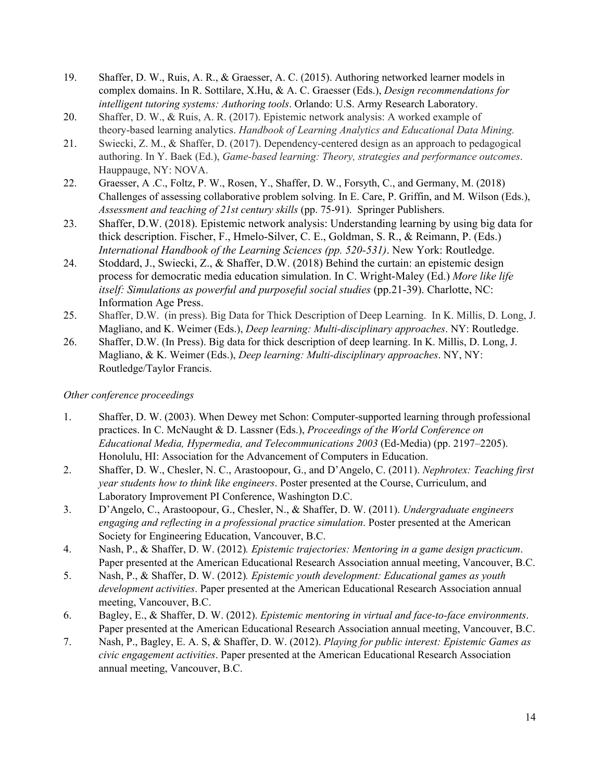- 19. Shaffer, D. W., Ruis, A. R., & Graesser, A. C. (2015). Authoring networked learner models in complex domains. In R. Sottilare, X.Hu, & A. C. Graesser (Eds.), *Design recommendations for intelligent tutoring systems: Authoring tools*. Orlando: U.S. Army Research Laboratory.
- 20. Shaffer, D. W., & Ruis, A. R. (2017). Epistemic network analysis: A worked example of theory-based learning analytics. *Handbook of Learning Analytics and Educational Data Mining.*
- 21. Swiecki, Z. M., & Shaffer, D. (2017). Dependency-centered design as an approach to pedagogical authoring. In Y. Baek (Ed.), *Game-based learning: Theory, strategies and performance outcomes*. Hauppauge, NY: NOVA.
- 22. Graesser, A .C., Foltz, P. W., Rosen, Y., Shaffer, D. W., Forsyth, C., and Germany, M. (2018) Challenges of assessing collaborative problem solving. In E. Care, P. Griffin, and M. Wilson (Eds.), *Assessment and teaching of 21st century skills* (pp. 75-91). Springer Publishers.
- 23. Shaffer, D.W. (2018). Epistemic network analysis: Understanding learning by using big data for thick description. Fischer, F., Hmelo-Silver, C. E., Goldman, S. R., & Reimann, P. (Eds.) *International Handbook of the Learning Sciences (pp. 520-531)*. New York: Routledge.
- 24. Stoddard, J., Swiecki, Z., & Shaffer, D.W. (2018) Behind the curtain: an epistemic design process for democratic media education simulation. In C. Wright-Maley (Ed.) *More like life itself: Simulations as powerful and purposeful social studies* (pp.21-39). Charlotte, NC: Information Age Press.
- 25. Shaffer, D.W. (in press). Big Data for Thick Description of Deep Learning. In K. Millis, D. Long, J. Magliano, and K. Weimer (Eds.), *Deep learning: Multi-disciplinary approaches*. NY: Routledge.
- 26. Shaffer, D.W. (In Press). Big data for thick description of deep learning. In K. Millis, D. Long, J. Magliano, & K. Weimer (Eds.), *Deep learning: Multi-disciplinary approaches*. NY, NY: Routledge/Taylor Francis.

### *Other conference proceedings*

- 1. Shaffer, D. W. (2003). When Dewey met Schon: Computer-supported learning through professional practices. In C. McNaught & D. Lassner (Eds.), *Proceedings of the World Conference on Educational Media, Hypermedia, and Telecommunications 2003* (Ed-Media) (pp. 2197–2205). Honolulu, HI: Association for the Advancement of Computers in Education.
- 2. Shaffer, D. W., Chesler, N. C., Arastoopour, G., and D'Angelo, C. (2011). *Nephrotex: Teaching first year students how to think like engineers*. Poster presented at the Course, Curriculum, and Laboratory Improvement PI Conference, Washington D.C.
- 3. D'Angelo, C., Arastoopour, G., Chesler, N., & Shaffer, D. W. (2011). *Undergraduate engineers engaging and reflecting in a professional practice simulation*. Poster presented at the American Society for Engineering Education, Vancouver, B.C.
- 4. Nash, P., & Shaffer, D. W. (2012)*. Epistemic trajectories: Mentoring in a game design practicum*. Paper presented at the American Educational Research Association annual meeting, Vancouver, B.C.
- 5. Nash, P., & Shaffer, D. W. (2012)*. Epistemic youth development: Educational games as youth development activities*. Paper presented at the American Educational Research Association annual meeting, Vancouver, B.C.
- 6. Bagley, E., & Shaffer, D. W. (2012). *Epistemic mentoring in virtual and face-to-face environments*. Paper presented at the American Educational Research Association annual meeting, Vancouver, B.C.
- 7. Nash, P., Bagley, E. A. S, & Shaffer, D. W. (2012). *Playing for public interest: Epistemic Games as civic engagement activities*. Paper presented at the American Educational Research Association annual meeting, Vancouver, B.C.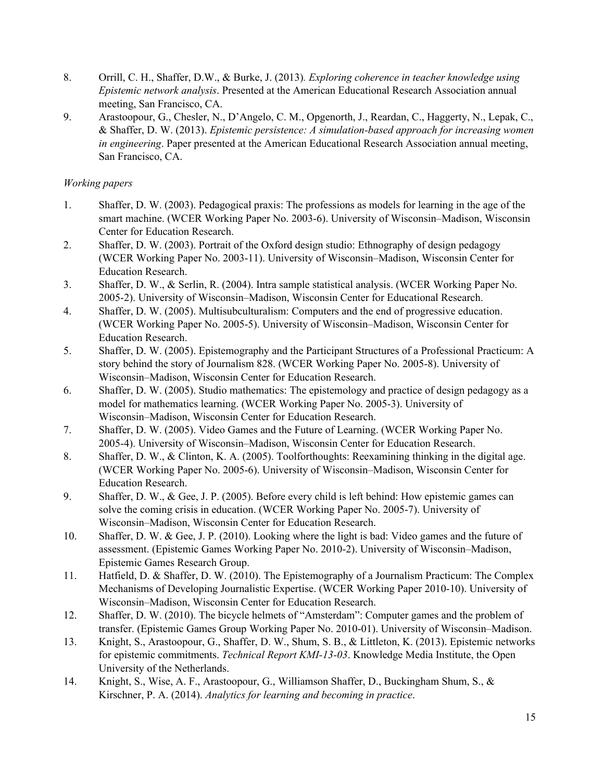- 8. Orrill, C. H., Shaffer, D.W., & Burke, J. (2013)*. Exploring coherence in teacher knowledge using Epistemic network analysis*. Presented at the American Educational Research Association annual meeting, San Francisco, CA.
- 9. Arastoopour, G., Chesler, N., D'Angelo, C. M., Opgenorth, J., Reardan, C., Haggerty, N., Lepak, C., & Shaffer, D. W. (2013). *Epistemic persistence: A simulation-based approach for increasing women in engineering*. Paper presented at the American Educational Research Association annual meeting, San Francisco, CA.

### *Working papers*

- 1. Shaffer, D. W. (2003). Pedagogical praxis: The professions as models for learning in the age of the smart machine. (WCER Working Paper No. 2003-6). University of Wisconsin–Madison, Wisconsin Center for Education Research.
- 2. Shaffer, D. W. (2003). Portrait of the Oxford design studio: Ethnography of design pedagogy (WCER Working Paper No. 2003-11). University of Wisconsin–Madison, Wisconsin Center for Education Research.
- 3. Shaffer, D. W., & Serlin, R. (2004). Intra sample statistical analysis. (WCER Working Paper No. 2005-2). University of Wisconsin–Madison, Wisconsin Center for Educational Research.
- 4. Shaffer, D. W. (2005). Multisubculturalism: Computers and the end of progressive education. (WCER Working Paper No. 2005-5). University of Wisconsin–Madison, Wisconsin Center for Education Research.
- 5. Shaffer, D. W. (2005). Epistemography and the Participant Structures of a Professional Practicum: A story behind the story of Journalism 828. (WCER Working Paper No. 2005-8). University of Wisconsin–Madison, Wisconsin Center for Education Research.
- 6. Shaffer, D. W. (2005). Studio mathematics: The epistemology and practice of design pedagogy as a model for mathematics learning. (WCER Working Paper No. 2005-3). University of Wisconsin–Madison, Wisconsin Center for Education Research.
- 7. Shaffer, D. W. (2005). Video Games and the Future of Learning. (WCER Working Paper No. 2005-4). University of Wisconsin–Madison, Wisconsin Center for Education Research.
- 8. Shaffer, D. W., & Clinton, K. A. (2005). Toolforthoughts: Reexamining thinking in the digital age. (WCER Working Paper No. 2005-6). University of Wisconsin–Madison, Wisconsin Center for Education Research.
- 9. Shaffer, D. W., & Gee, J. P. (2005). Before every child is left behind: How epistemic games can solve the coming crisis in education. (WCER Working Paper No. 2005-7). University of Wisconsin–Madison, Wisconsin Center for Education Research.
- 10. Shaffer, D. W. & Gee, J. P. (2010). Looking where the light is bad: Video games and the future of assessment. (Epistemic Games Working Paper No. 2010-2). University of Wisconsin–Madison, Epistemic Games Research Group.
- 11. Hatfield, D. & Shaffer, D. W. (2010). The Epistemography of a Journalism Practicum: The Complex Mechanisms of Developing Journalistic Expertise. (WCER Working Paper 2010-10). University of Wisconsin–Madison, Wisconsin Center for Education Research.
- 12. Shaffer, D. W. (2010). The bicycle helmets of "Amsterdam": Computer games and the problem of transfer. (Epistemic Games Group Working Paper No. 2010-01). University of Wisconsin–Madison.
- 13. Knight, S., Arastoopour, G., Shaffer, D. W., Shum, S. B., & Littleton, K. (2013). Epistemic networks for epistemic commitments. *Technical Report KMI-13-03*. Knowledge Media Institute, the Open University of the Netherlands.
- 14. Knight, S., Wise, A. F., Arastoopour, G., Williamson Shaffer, D., Buckingham Shum, S., & Kirschner, P. A. (2014). *Analytics for learning and becoming in practice*.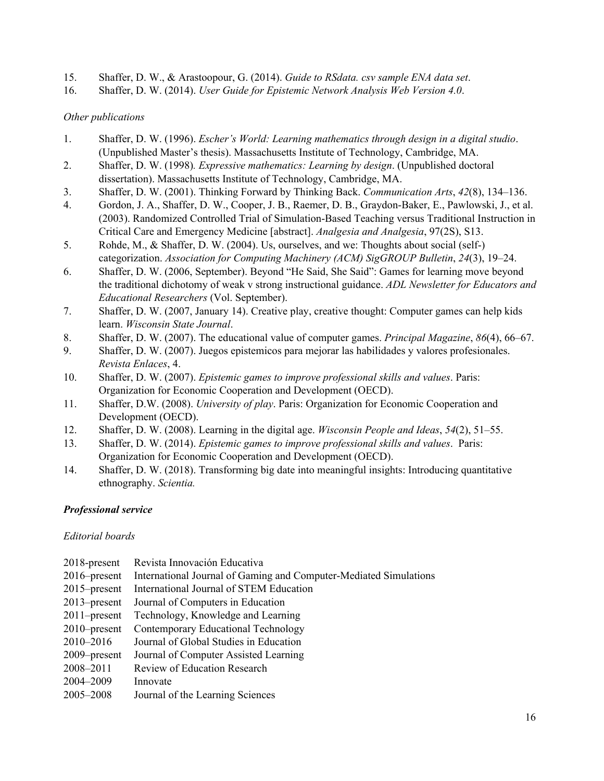- 15. Shaffer, D. W., & Arastoopour, G. (2014). *Guide to RSdata. csv sample ENA data set*.
- 16. Shaffer, D. W. (2014). *User Guide for Epistemic Network Analysis Web Version 4.0*.

### *Other publications*

- 1. Shaffer, D. W. (1996). *Escher's World: Learning mathematics through design in a digital studio*. (Unpublished Master's thesis). Massachusetts Institute of Technology, Cambridge, MA.
- 2. Shaffer, D. W. (1998)*. Expressive mathematics: Learning by design*. (Unpublished doctoral dissertation). Massachusetts Institute of Technology, Cambridge, MA.
- 3. Shaffer, D. W. (2001). Thinking Forward by Thinking Back. *Communication Arts*, *42*(8), 134–136.
- 4. Gordon, J. A., Shaffer, D. W., Cooper, J. B., Raemer, D. B., Graydon-Baker, E., Pawlowski, J., et al. (2003). Randomized Controlled Trial of Simulation-Based Teaching versus Traditional Instruction in Critical Care and Emergency Medicine [abstract]. *Analgesia and Analgesia*, 97(2S), S13.
- 5. Rohde, M., & Shaffer, D. W. (2004). Us, ourselves, and we: Thoughts about social (self-) categorization. *Association for Computing Machinery (ACM) SigGROUP Bulletin*, *24*(3), 19–24.
- 6. Shaffer, D. W. (2006, September). Beyond "He Said, She Said": Games for learning move beyond the traditional dichotomy of weak v strong instructional guidance. *ADL Newsletter for Educators and Educational Researchers* (Vol. September).
- 7. Shaffer, D. W. (2007, January 14). Creative play, creative thought: Computer games can help kids learn. *Wisconsin State Journal*.
- 8. Shaffer, D. W. (2007). The educational value of computer games. *Principal Magazine*, *86*(4), 66–67.
- 9. Shaffer, D. W. (2007). Juegos epistemicos para mejorar las habilidades y valores profesionales. *Revista Enlaces*, 4.
- 10. Shaffer, D. W. (2007). *Epistemic games to improve professional skills and values*. Paris: Organization for Economic Cooperation and Development (OECD).
- 11. Shaffer, D.W. (2008). *University of play*. Paris: Organization for Economic Cooperation and Development (OECD).
- 12. Shaffer, D. W. (2008). Learning in the digital age. *Wisconsin People and Ideas*, *54*(2), 51–55.
- 13. Shaffer, D. W. (2014). *Epistemic games to improve professional skills and values*. Paris: Organization for Economic Cooperation and Development (OECD).
- 14. Shaffer, D. W. (2018). Transforming big date into meaningful insights: Introducing quantitative ethnography. *Scientia.*

### *Professional service*

### *Editorial boards*

- 2018-present Revista Innovación Educativa 2016–present International Journal of Gaming and Computer-Mediated Simulations 2015–present International Journal of STEM Education 2013–present Journal of Computers in Education 2011–present Technology, Knowledge and Learning 2010–present Contemporary Educational Technology 2010–2016 Journal of Global Studies in Education 2009–present Journal of Computer Assisted Learning
- 2008–2011 Review of Education Research
- 2004–2009 Innovate
- 2005–2008 Journal of the Learning Sciences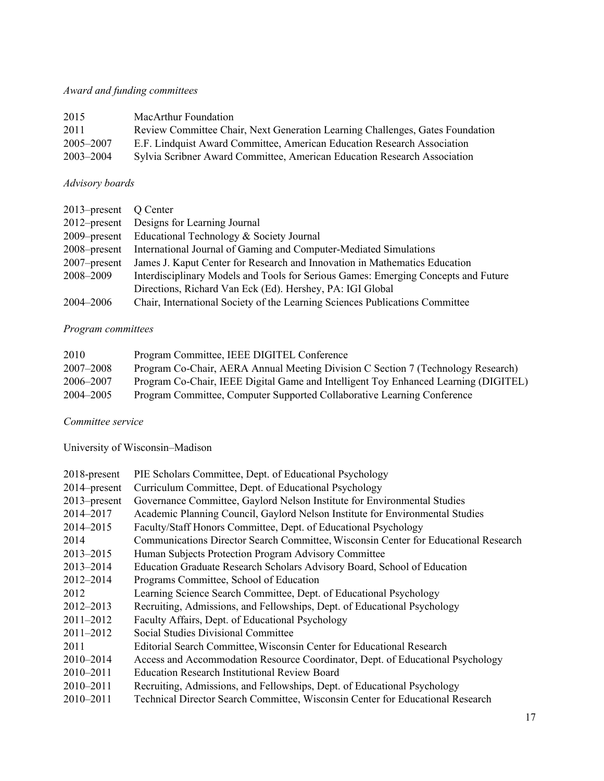# *Award and funding committees*

| 2015      | MacArthur Foundation                                                          |
|-----------|-------------------------------------------------------------------------------|
| 2011      | Review Committee Chair, Next Generation Learning Challenges, Gates Foundation |
| 2005–2007 | E.F. Lindquist Award Committee, American Education Research Association       |
| 2003-2004 | Sylvia Scribner Award Committee, American Education Research Association      |

# *Advisory boards*

| 2013–present Q Center |                                                                                    |
|-----------------------|------------------------------------------------------------------------------------|
|                       | 2012–present Designs for Learning Journal                                          |
|                       | 2009–present Educational Technology & Society Journal                              |
| 2008–present          | International Journal of Gaming and Computer-Mediated Simulations                  |
| $2007$ -present       | James J. Kaput Center for Research and Innovation in Mathematics Education         |
| 2008-2009             | Interdisciplinary Models and Tools for Serious Games: Emerging Concepts and Future |
|                       | Directions, Richard Van Eck (Ed). Hershey, PA: IGI Global                          |
| 2004–2006             | Chair, International Society of the Learning Sciences Publications Committee       |
|                       |                                                                                    |

### *Program committees*

| 2010          | Program Committee, IEEE DIGITEL Conference                                          |
|---------------|-------------------------------------------------------------------------------------|
| 2007–2008     | Program Co-Chair, AERA Annual Meeting Division C Section 7 (Technology Research)    |
| 2006–2007     | Program Co-Chair, IEEE Digital Game and Intelligent Toy Enhanced Learning (DIGITEL) |
| $2004 - 2005$ | Program Committee, Computer Supported Collaborative Learning Conference             |

### *Committee service*

University of Wisconsin–Madison

| 2018-present    | PIE Scholars Committee, Dept. of Educational Psychology                             |
|-----------------|-------------------------------------------------------------------------------------|
| $2014$ -present | Curriculum Committee, Dept. of Educational Psychology                               |
| $2013$ -present | Governance Committee, Gaylord Nelson Institute for Environmental Studies            |
| 2014-2017       | Academic Planning Council, Gaylord Nelson Institute for Environmental Studies       |
| 2014-2015       | Faculty/Staff Honors Committee, Dept. of Educational Psychology                     |
| 2014            | Communications Director Search Committee, Wisconsin Center for Educational Research |
| 2013-2015       | Human Subjects Protection Program Advisory Committee                                |
| 2013-2014       | Education Graduate Research Scholars Advisory Board, School of Education            |
| 2012-2014       | Programs Committee, School of Education                                             |
| 2012            | Learning Science Search Committee, Dept. of Educational Psychology                  |
| 2012-2013       | Recruiting, Admissions, and Fellowships, Dept. of Educational Psychology            |
| $2011 - 2012$   | Faculty Affairs, Dept. of Educational Psychology                                    |
| $2011 - 2012$   | Social Studies Divisional Committee                                                 |
| 2011            | Editorial Search Committee, Wisconsin Center for Educational Research               |
| $2010 - 2014$   | Access and Accommodation Resource Coordinator, Dept. of Educational Psychology      |
| $2010 - 2011$   | <b>Education Research Institutional Review Board</b>                                |
| $2010 - 2011$   | Recruiting, Admissions, and Fellowships, Dept. of Educational Psychology            |
| 2010-2011       | Technical Director Search Committee, Wisconsin Center for Educational Research      |
|                 |                                                                                     |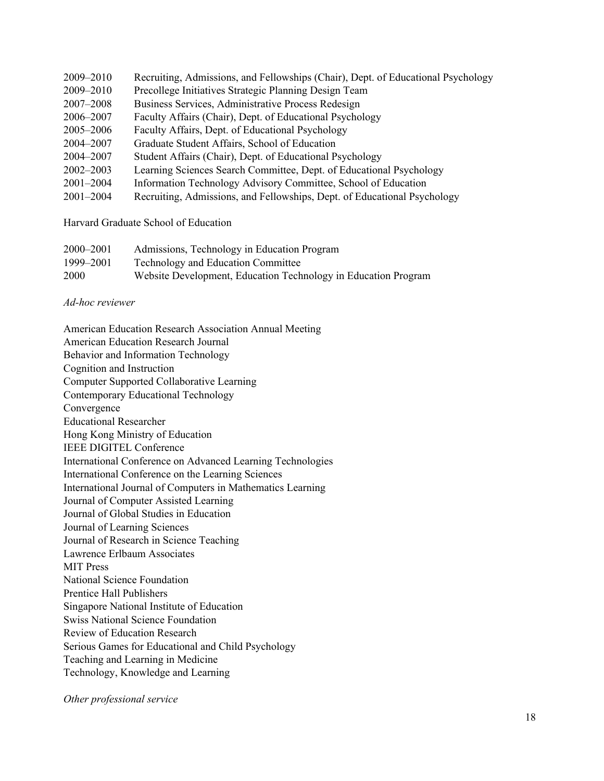| 2009-2010     | Recruiting, Admissions, and Fellowships (Chair), Dept. of Educational Psychology |
|---------------|----------------------------------------------------------------------------------|
| 2009-2010     | Precollege Initiatives Strategic Planning Design Team                            |
| 2007–2008     | Business Services, Administrative Process Redesign                               |
| 2006–2007     | Faculty Affairs (Chair), Dept. of Educational Psychology                         |
| 2005-2006     | Faculty Affairs, Dept. of Educational Psychology                                 |
| 2004–2007     | Graduate Student Affairs, School of Education                                    |
| 2004–2007     | Student Affairs (Chair), Dept. of Educational Psychology                         |
| 2002–2003     | Learning Sciences Search Committee, Dept. of Educational Psychology              |
| $2001 - 2004$ | Information Technology Advisory Committee, School of Education                   |
| $2001 - 2004$ | Recruiting, Admissions, and Fellowships, Dept. of Educational Psychology         |
|               |                                                                                  |

Harvard Graduate School of Education

| 2000–2001 | Admissions, Technology in Education Program                    |
|-----------|----------------------------------------------------------------|
| 1999–2001 | <b>Technology and Education Committee</b>                      |
| 2000      | Website Development, Education Technology in Education Program |

*Ad-hoc reviewer*

American Education Research Association Annual Meeting American Education Research Journal Behavior and Information Technology Cognition and Instruction Computer Supported Collaborative Learning Contemporary Educational Technology Convergence Educational Researcher Hong Kong Ministry of Education IEEE DIGITEL Conference International Conference on Advanced Learning Technologies International Conference on the Learning Sciences International Journal of Computers in Mathematics Learning Journal of Computer Assisted Learning Journal of Global Studies in Education Journal of Learning Sciences Journal of Research in Science Teaching Lawrence Erlbaum Associates MIT Press National Science Foundation Prentice Hall Publishers Singapore National Institute of Education Swiss National Science Foundation Review of Education Research Serious Games for Educational and Child Psychology Teaching and Learning in Medicine Technology, Knowledge and Learning

*Other professional service*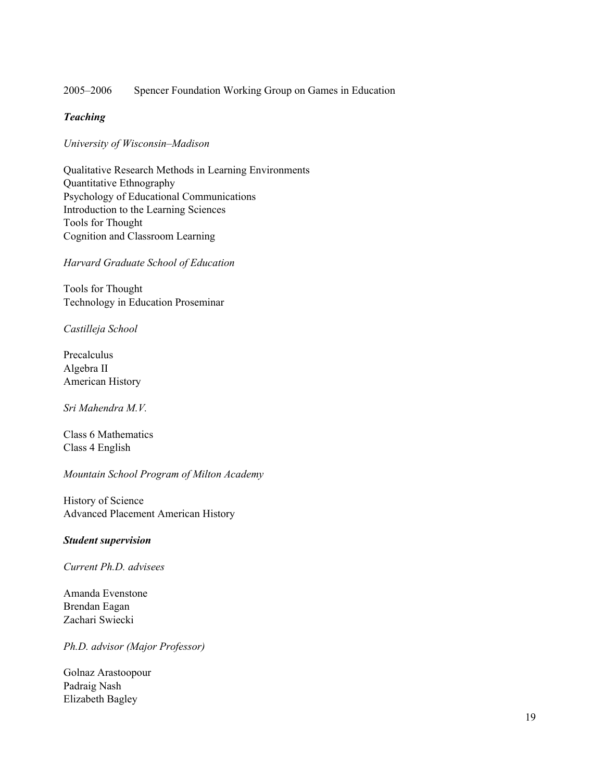#### 2005–2006 Spencer Foundation Working Group on Games in Education

### *Teaching*

*University of Wisconsin–Madison*

Qualitative Research Methods in Learning Environments Quantitative Ethnography Psychology of Educational Communications Introduction to the Learning Sciences Tools for Thought Cognition and Classroom Learning

*Harvard Graduate School of Education*

Tools for Thought Technology in Education Proseminar

*Castilleja School*

Precalculus Algebra II American History

*Sri Mahendra M.V.*

Class 6 Mathematics Class 4 English

*Mountain School Program of Milton Academy*

History of Science Advanced Placement American History

#### *Student supervision*

*Current Ph.D. advisees*

Amanda Evenstone Brendan Eagan Zachari Swiecki

*Ph.D. advisor (Major Professor)*

Golnaz Arastoopour Padraig Nash Elizabeth Bagley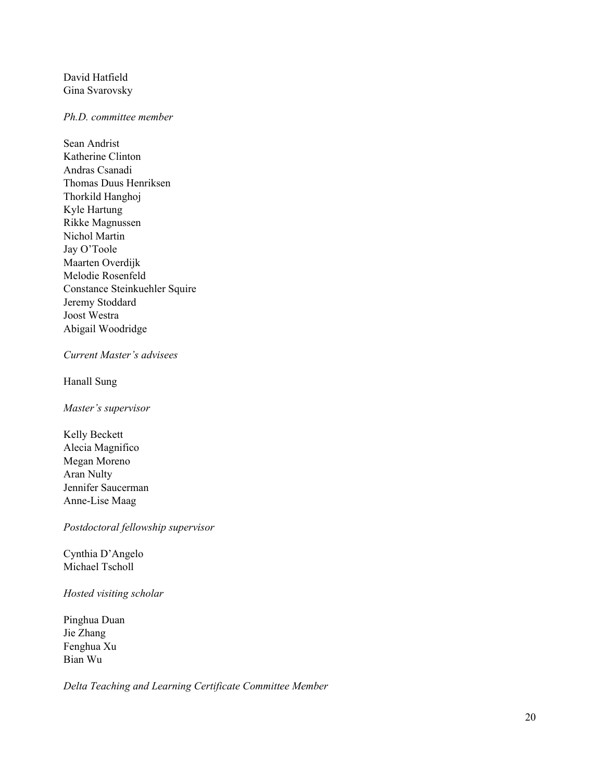David Hatfield Gina Svarovsky

#### *Ph.D. committee member*

Sean Andrist Katherine Clinton Andras Csanadi Thomas Duus Henriksen Thorkild Hanghoj Kyle Hartung Rikke Magnussen Nichol Martin Jay O'Toole Maarten Overdijk Melodie Rosenfeld Constance Steinkuehler Squire Jeremy Stoddard Joost Westra Abigail Woodridge

#### *Current Master's advisees*

Hanall Sung

*Master's supervisor*

Kelly Beckett Alecia Magnifico Megan Moreno Aran Nulty Jennifer Saucerman Anne-Lise Maag

*Postdoctoral fellowship supervisor*

Cynthia D'Angelo Michael Tscholl

*Hosted visiting scholar*

Pinghua Duan Jie Zhang Fenghua Xu Bian Wu

*Delta Teaching and Learning Certificate Committee Member*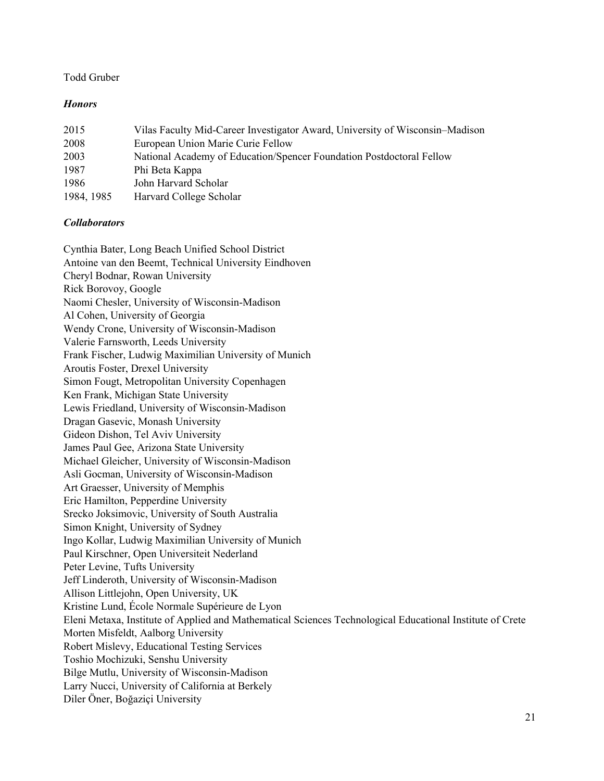### Todd Gruber

### *Honors*

| 2015       | Vilas Faculty Mid-Career Investigator Award, University of Wisconsin–Madison |
|------------|------------------------------------------------------------------------------|
| 2008       | European Union Marie Curie Fellow                                            |
| 2003       | National Academy of Education/Spencer Foundation Postdoctoral Fellow         |
| 1987       | Phi Beta Kappa                                                               |
| 1986       | John Harvard Scholar                                                         |
| 1984, 1985 | Harvard College Scholar                                                      |

#### *Collaborators*

Cynthia Bater, Long Beach Unified School District Antoine van den Beemt, Technical University Eindhoven Cheryl Bodnar, Rowan University Rick Borovoy, Google Naomi Chesler, University of Wisconsin-Madison Al Cohen, University of Georgia Wendy Crone, University of Wisconsin-Madison Valerie Farnsworth, Leeds University Frank Fischer, Ludwig Maximilian University of Munich Aroutis Foster, Drexel University Simon Fougt, Metropolitan University Copenhagen Ken Frank, Michigan State University Lewis Friedland, University of Wisconsin-Madison Dragan Gasevic, Monash University Gideon Dishon, Tel Aviv University James Paul Gee, Arizona State University Michael Gleicher, University of Wisconsin-Madison Asli Gocman, University of Wisconsin-Madison Art Graesser, University of Memphis Eric Hamilton, Pepperdine University Srecko Joksimovic, University of South Australia Simon Knight, University of Sydney Ingo Kollar, Ludwig Maximilian University of Munich Paul Kirschner, Open Universiteit Nederland Peter Levine, Tufts University Jeff Linderoth, University of Wisconsin-Madison Allison Littlejohn, Open University, UK Kristine Lund, École Normale Supérieure de Lyon Eleni Metaxa, Institute of Applied and Mathematical Sciences Technological Educational Institute of Crete Morten Misfeldt, Aalborg University Robert Mislevy, Educational Testing Services Toshio Mochizuki, Senshu University Bilge Mutlu, University of Wisconsin-Madison Larry Nucci, University of California at Berkely Diler Öner, Boğaziçi University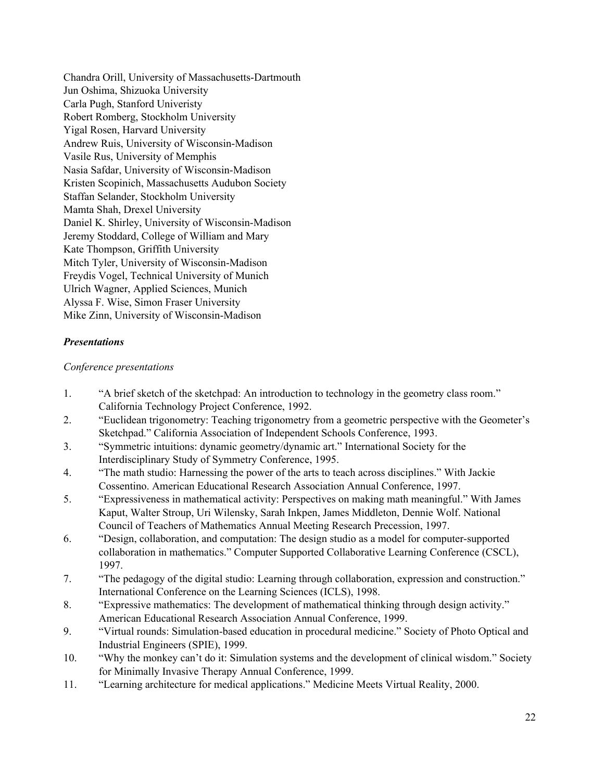Chandra Orill, University of Massachusetts-Dartmouth Jun Oshima, Shizuoka University Carla Pugh, Stanford Univeristy Robert Romberg, Stockholm University Yigal Rosen, Harvard University Andrew Ruis, University of Wisconsin-Madison Vasile Rus, University of Memphis Nasia Safdar, University of Wisconsin-Madison Kristen Scopinich, Massachusetts Audubon Society Staffan Selander, Stockholm University Mamta Shah, Drexel University Daniel K. Shirley, University of Wisconsin-Madison Jeremy Stoddard, College of William and Mary Kate Thompson, Griffith University Mitch Tyler, University of Wisconsin-Madison Freydis Vogel, Technical University of Munich Ulrich Wagner, Applied Sciences, Munich Alyssa F. Wise, Simon Fraser University Mike Zinn, University of Wisconsin-Madison

### *Presentations*

### *Conference presentations*

- 1. "A brief sketch of the sketchpad: An introduction to technology in the geometry class room." California Technology Project Conference, 1992.
- 2. "Euclidean trigonometry: Teaching trigonometry from a geometric perspective with the Geometer's Sketchpad." California Association of Independent Schools Conference, 1993.
- 3. "Symmetric intuitions: dynamic geometry/dynamic art." International Society for the Interdisciplinary Study of Symmetry Conference, 1995.
- 4. "The math studio: Harnessing the power of the arts to teach across disciplines." With Jackie Cossentino. American Educational Research Association Annual Conference, 1997.
- 5. "Expressiveness in mathematical activity: Perspectives on making math meaningful." With James Kaput, Walter Stroup, Uri Wilensky, Sarah Inkpen, James Middleton, Dennie Wolf. National Council of Teachers of Mathematics Annual Meeting Research Precession, 1997.
- 6. "Design, collaboration, and computation: The design studio as a model for computer-supported collaboration in mathematics." Computer Supported Collaborative Learning Conference (CSCL), 1997.
- 7. "The pedagogy of the digital studio: Learning through collaboration, expression and construction." International Conference on the Learning Sciences (ICLS), 1998.
- 8. "Expressive mathematics: The development of mathematical thinking through design activity." American Educational Research Association Annual Conference, 1999.
- 9. "Virtual rounds: Simulation-based education in procedural medicine." Society of Photo Optical and Industrial Engineers (SPIE), 1999.
- 10. "Why the monkey can't do it: Simulation systems and the development of clinical wisdom." Society for Minimally Invasive Therapy Annual Conference, 1999.
- 11. "Learning architecture for medical applications." Medicine Meets Virtual Reality, 2000.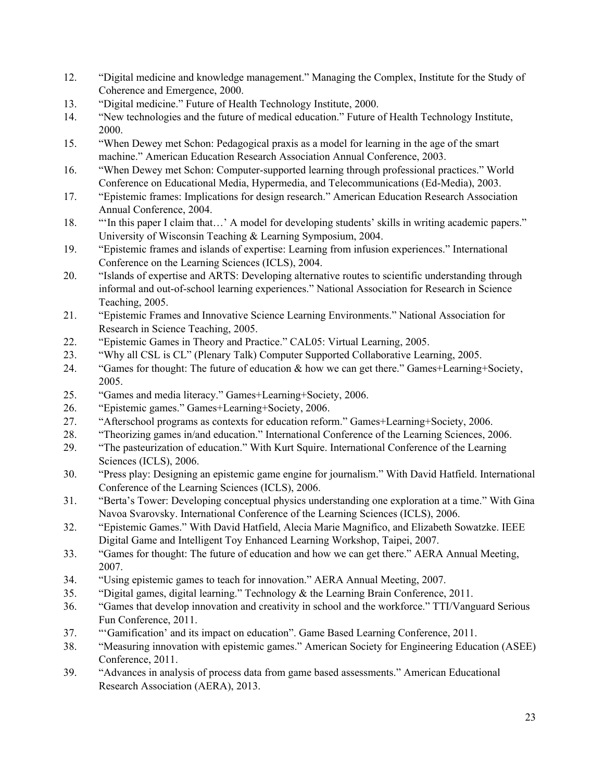- 12. "Digital medicine and knowledge management." Managing the Complex, Institute for the Study of Coherence and Emergence, 2000.
- 13. "Digital medicine." Future of Health Technology Institute, 2000.
- 14. "New technologies and the future of medical education." Future of Health Technology Institute, 2000.
- 15. "When Dewey met Schon: Pedagogical praxis as a model for learning in the age of the smart machine." American Education Research Association Annual Conference, 2003.
- 16. "When Dewey met Schon: Computer-supported learning through professional practices." World Conference on Educational Media, Hypermedia, and Telecommunications (Ed-Media), 2003.
- 17. "Epistemic frames: Implications for design research." American Education Research Association Annual Conference, 2004.
- 18. "'In this paper I claim that…' A model for developing students' skills in writing academic papers." University of Wisconsin Teaching & Learning Symposium, 2004.
- 19. "Epistemic frames and islands of expertise: Learning from infusion experiences." International Conference on the Learning Sciences (ICLS), 2004.
- 20. "Islands of expertise and ARTS: Developing alternative routes to scientific understanding through informal and out-of-school learning experiences." National Association for Research in Science Teaching, 2005.
- 21. "Epistemic Frames and Innovative Science Learning Environments." National Association for Research in Science Teaching, 2005.
- 22. "Epistemic Games in Theory and Practice." CAL05: Virtual Learning, 2005.
- 23. "Why all CSL is CL" (Plenary Talk) Computer Supported Collaborative Learning, 2005.
- 24. "Games for thought: The future of education & how we can get there." Games+Learning+Society, 2005.
- 25. "Games and media literacy." Games+Learning+Society, 2006.
- 26. "Epistemic games." Games+Learning+Society, 2006.
- 27. "Afterschool programs as contexts for education reform." Games+Learning+Society, 2006.
- 28. "Theorizing games in/and education." International Conference of the Learning Sciences, 2006.
- 29. "The pasteurization of education." With Kurt Squire. International Conference of the Learning Sciences (ICLS), 2006.
- 30. "Press play: Designing an epistemic game engine for journalism." With David Hatfield. International Conference of the Learning Sciences (ICLS), 2006.
- 31. "Berta's Tower: Developing conceptual physics understanding one exploration at a time." With Gina Navoa Svarovsky. International Conference of the Learning Sciences (ICLS), 2006.
- 32. "Epistemic Games." With David Hatfield, Alecia Marie Magnifico, and Elizabeth Sowatzke. IEEE Digital Game and Intelligent Toy Enhanced Learning Workshop, Taipei, 2007.
- 33. "Games for thought: The future of education and how we can get there." AERA Annual Meeting, 2007.
- 34. "Using epistemic games to teach for innovation." AERA Annual Meeting, 2007.
- 35. "Digital games, digital learning." Technology & the Learning Brain Conference, 2011.
- 36. "Games that develop innovation and creativity in school and the workforce." TTI/Vanguard Serious Fun Conference, 2011.
- 37. "'Gamification' and its impact on education". Game Based Learning Conference, 2011.
- 38. "Measuring innovation with epistemic games." American Society for Engineering Education (ASEE) Conference, 2011.
- 39. "Advances in analysis of process data from game based assessments." American Educational Research Association (AERA), 2013.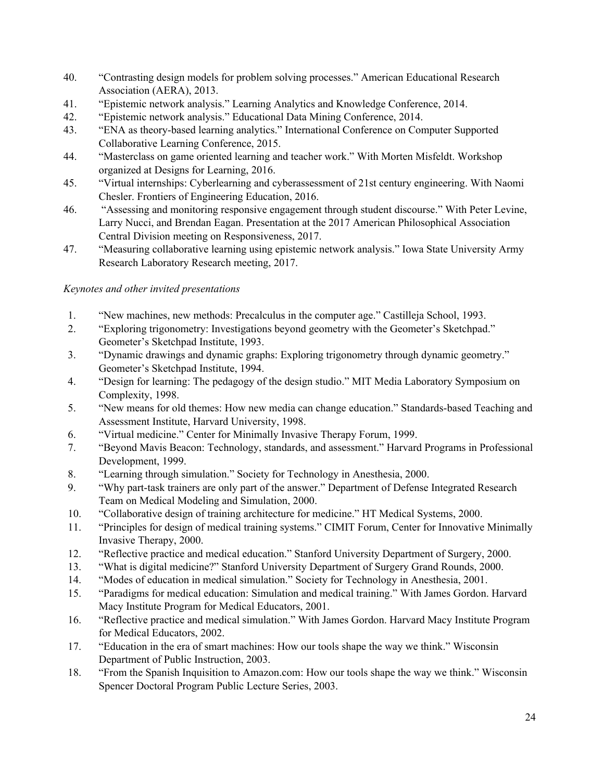- 40. "Contrasting design models for problem solving processes." American Educational Research Association (AERA), 2013.
- 41. "Epistemic network analysis." Learning Analytics and Knowledge Conference, 2014.
- 42. "Epistemic network analysis." Educational Data Mining Conference, 2014.
- 43. "ENA as theory-based learning analytics." International Conference on Computer Supported Collaborative Learning Conference, 2015.
- 44. "Masterclass on game oriented learning and teacher work." With Morten Misfeldt. Workshop organized at Designs for Learning, 2016.
- 45. "Virtual internships: Cyberlearning and cyberassessment of 21st century engineering. With Naomi Chesler. Frontiers of Engineering Education, 2016.
- 46. "Assessing and monitoring responsive engagement through student discourse." With Peter Levine, Larry Nucci, and Brendan Eagan. Presentation at the 2017 American Philosophical Association Central Division meeting on Responsiveness, 2017.
- 47. "Measuring collaborative learning using epistemic network analysis." Iowa State University Army Research Laboratory Research meeting, 2017.

### *Keynotes and other invited presentations*

- 1. "New machines, new methods: Precalculus in the computer age." Castilleja School, 1993.
- 2. "Exploring trigonometry: Investigations beyond geometry with the Geometer's Sketchpad." Geometer's Sketchpad Institute, 1993.
- 3. "Dynamic drawings and dynamic graphs: Exploring trigonometry through dynamic geometry." Geometer's Sketchpad Institute, 1994.
- 4. "Design for learning: The pedagogy of the design studio." MIT Media Laboratory Symposium on Complexity, 1998.
- 5. "New means for old themes: How new media can change education." Standards-based Teaching and Assessment Institute, Harvard University, 1998.
- 6. "Virtual medicine." Center for Minimally Invasive Therapy Forum, 1999.
- 7. "Beyond Mavis Beacon: Technology, standards, and assessment." Harvard Programs in Professional Development, 1999.
- 8. "Learning through simulation." Society for Technology in Anesthesia, 2000.
- 9. "Why part-task trainers are only part of the answer." Department of Defense Integrated Research Team on Medical Modeling and Simulation, 2000.
- 10. "Collaborative design of training architecture for medicine." HT Medical Systems, 2000.
- 11. "Principles for design of medical training systems." CIMIT Forum, Center for Innovative Minimally Invasive Therapy, 2000.
- 12. "Reflective practice and medical education." Stanford University Department of Surgery, 2000.
- 13. "What is digital medicine?" Stanford University Department of Surgery Grand Rounds, 2000.
- 14. "Modes of education in medical simulation." Society for Technology in Anesthesia, 2001.
- 15. "Paradigms for medical education: Simulation and medical training." With James Gordon. Harvard Macy Institute Program for Medical Educators, 2001.
- 16. "Reflective practice and medical simulation." With James Gordon. Harvard Macy Institute Program for Medical Educators, 2002.
- 17. "Education in the era of smart machines: How our tools shape the way we think." Wisconsin Department of Public Instruction, 2003.
- 18. "From the Spanish Inquisition to Amazon.com: How our tools shape the way we think." Wisconsin Spencer Doctoral Program Public Lecture Series, 2003.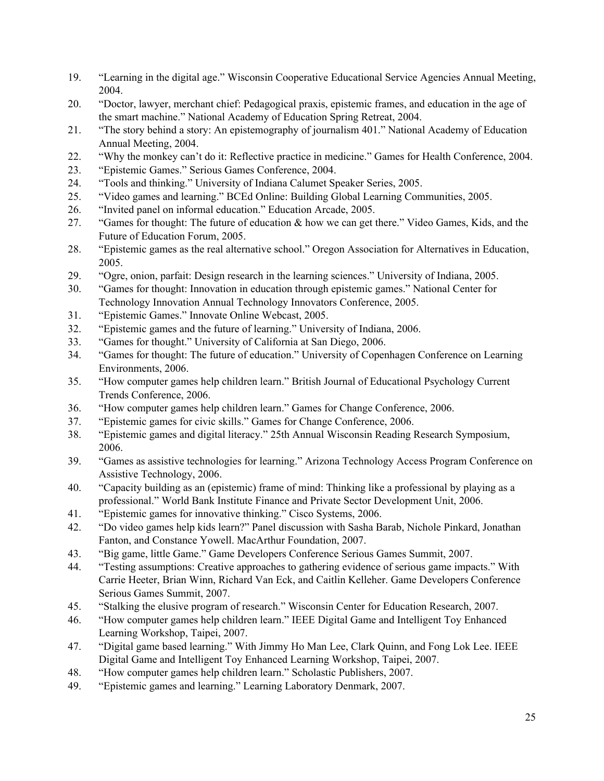- 19. "Learning in the digital age." Wisconsin Cooperative Educational Service Agencies Annual Meeting, 2004.
- 20. "Doctor, lawyer, merchant chief: Pedagogical praxis, epistemic frames, and education in the age of the smart machine." National Academy of Education Spring Retreat, 2004.
- 21. "The story behind a story: An epistemography of journalism 401." National Academy of Education Annual Meeting, 2004.
- 22. "Why the monkey can't do it: Reflective practice in medicine." Games for Health Conference, 2004.
- 23. "Epistemic Games." Serious Games Conference, 2004.
- 24. "Tools and thinking." University of Indiana Calumet Speaker Series, 2005.
- 25. "Video games and learning." BCEd Online: Building Global Learning Communities, 2005.
- 26. "Invited panel on informal education." Education Arcade, 2005.
- 27. "Games for thought: The future of education & how we can get there." Video Games, Kids, and the Future of Education Forum, 2005.
- 28. "Epistemic games as the real alternative school." Oregon Association for Alternatives in Education, 2005.
- 29. "Ogre, onion, parfait: Design research in the learning sciences." University of Indiana, 2005.
- 30. "Games for thought: Innovation in education through epistemic games." National Center for Technology Innovation Annual Technology Innovators Conference, 2005.
- 31. "Epistemic Games." Innovate Online Webcast, 2005.
- 32. "Epistemic games and the future of learning." University of Indiana, 2006.
- 33. "Games for thought." University of California at San Diego, 2006.
- 34. "Games for thought: The future of education." University of Copenhagen Conference on Learning Environments, 2006.
- 35. "How computer games help children learn." British Journal of Educational Psychology Current Trends Conference, 2006.
- 36. "How computer games help children learn." Games for Change Conference, 2006.
- 37. "Epistemic games for civic skills." Games for Change Conference, 2006.
- 38. "Epistemic games and digital literacy." 25th Annual Wisconsin Reading Research Symposium, 2006.
- 39. "Games as assistive technologies for learning." Arizona Technology Access Program Conference on Assistive Technology, 2006.
- 40. "Capacity building as an (epistemic) frame of mind: Thinking like a professional by playing as a professional." World Bank Institute Finance and Private Sector Development Unit, 2006.
- 41. "Epistemic games for innovative thinking." Cisco Systems, 2006.
- 42. "Do video games help kids learn?" Panel discussion with Sasha Barab, Nichole Pinkard, Jonathan Fanton, and Constance Yowell. MacArthur Foundation, 2007.
- 43. "Big game, little Game." Game Developers Conference Serious Games Summit, 2007.
- 44. "Testing assumptions: Creative approaches to gathering evidence of serious game impacts." With Carrie Heeter, Brian Winn, Richard Van Eck, and Caitlin Kelleher. Game Developers Conference Serious Games Summit, 2007.
- 45. "Stalking the elusive program of research." Wisconsin Center for Education Research, 2007.
- 46. "How computer games help children learn." IEEE Digital Game and Intelligent Toy Enhanced Learning Workshop, Taipei, 2007.
- 47. "Digital game based learning." With Jimmy Ho Man Lee, Clark Quinn, and Fong Lok Lee. IEEE Digital Game and Intelligent Toy Enhanced Learning Workshop, Taipei, 2007.
- 48. "How computer games help children learn." Scholastic Publishers, 2007.
- 49. "Epistemic games and learning." Learning Laboratory Denmark, 2007.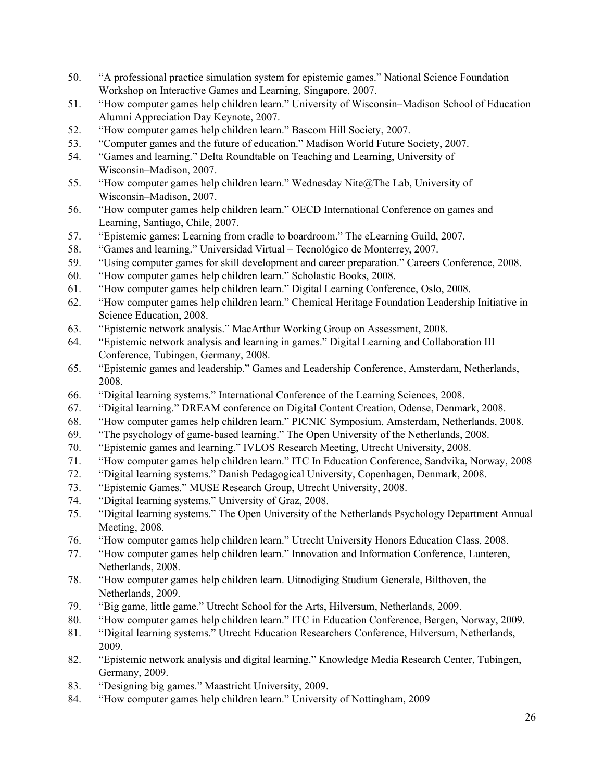- 50. "A professional practice simulation system for epistemic games." National Science Foundation Workshop on Interactive Games and Learning, Singapore, 2007.
- 51. "How computer games help children learn." University of Wisconsin–Madison School of Education Alumni Appreciation Day Keynote, 2007.
- 52. "How computer games help children learn." Bascom Hill Society, 2007.
- 53. "Computer games and the future of education." Madison World Future Society, 2007.
- 54. "Games and learning." Delta Roundtable on Teaching and Learning, University of Wisconsin–Madison, 2007.
- 55. "How computer games help children learn." Wednesday Nite@The Lab, University of Wisconsin–Madison, 2007.
- 56. "How computer games help children learn." OECD International Conference on games and Learning, Santiago, Chile, 2007.
- 57. "Epistemic games: Learning from cradle to boardroom." The eLearning Guild, 2007.
- 58. "Games and learning." Universidad Virtual Tecnolόgico de Monterrey, 2007.
- 59. "Using computer games for skill development and career preparation." Careers Conference, 2008.
- 60. "How computer games help children learn." Scholastic Books, 2008.
- 61. "How computer games help children learn." Digital Learning Conference, Oslo, 2008.
- 62. "How computer games help children learn." Chemical Heritage Foundation Leadership Initiative in Science Education, 2008.
- 63. "Epistemic network analysis." MacArthur Working Group on Assessment, 2008.
- 64. "Epistemic network analysis and learning in games." Digital Learning and Collaboration III Conference, Tubingen, Germany, 2008.
- 65. "Epistemic games and leadership." Games and Leadership Conference, Amsterdam, Netherlands, 2008.
- 66. "Digital learning systems." International Conference of the Learning Sciences, 2008.
- 67. "Digital learning." DREAM conference on Digital Content Creation, Odense, Denmark, 2008.
- 68. "How computer games help children learn." PICNIC Symposium, Amsterdam, Netherlands, 2008.
- 69. "The psychology of game-based learning." The Open University of the Netherlands, 2008.
- 70. "Epistemic games and learning." IVLOS Research Meeting, Utrecht University, 2008.
- 71. "How computer games help children learn." ITC In Education Conference, Sandvika, Norway, 2008
- 72. "Digital learning systems." Danish Pedagogical University, Copenhagen, Denmark, 2008.
- 73. "Epistemic Games." MUSE Research Group, Utrecht University, 2008.
- 74. "Digital learning systems." University of Graz, 2008.
- 75. "Digital learning systems." The Open University of the Netherlands Psychology Department Annual Meeting, 2008.
- 76. "How computer games help children learn." Utrecht University Honors Education Class, 2008.
- 77. "How computer games help children learn." Innovation and Information Conference, Lunteren, Netherlands, 2008.
- 78. "How computer games help children learn. Uitnodiging Studium Generale, Bilthoven, the Netherlands, 2009.
- 79. "Big game, little game." Utrecht School for the Arts, Hilversum, Netherlands, 2009.
- 80. "How computer games help children learn." ITC in Education Conference, Bergen, Norway, 2009.
- 81. "Digital learning systems." Utrecht Education Researchers Conference, Hilversum, Netherlands, 2009.
- 82. "Epistemic network analysis and digital learning." Knowledge Media Research Center, Tubingen, Germany, 2009.
- 83. "Designing big games." Maastricht University, 2009.
- 84. "How computer games help children learn." University of Nottingham, 2009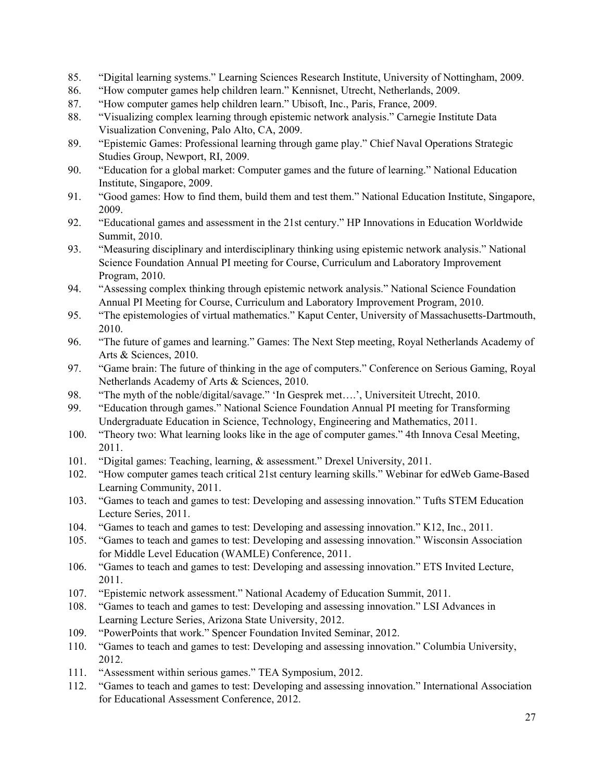- 85. "Digital learning systems." Learning Sciences Research Institute, University of Nottingham, 2009.
- 86. "How computer games help children learn." Kennisnet, Utrecht, Netherlands, 2009.
- 87. "How computer games help children learn." Ubisoft, Inc., Paris, France, 2009.
- 88. "Visualizing complex learning through epistemic network analysis." Carnegie Institute Data Visualization Convening, Palo Alto, CA, 2009.
- 89. "Epistemic Games: Professional learning through game play." Chief Naval Operations Strategic Studies Group, Newport, RI, 2009.
- 90. "Education for a global market: Computer games and the future of learning." National Education Institute, Singapore, 2009.
- 91. "Good games: How to find them, build them and test them." National Education Institute, Singapore, 2009.
- 92. "Educational games and assessment in the 21st century." HP Innovations in Education Worldwide Summit, 2010.
- 93. "Measuring disciplinary and interdisciplinary thinking using epistemic network analysis." National Science Foundation Annual PI meeting for Course, Curriculum and Laboratory Improvement Program, 2010.
- 94. "Assessing complex thinking through epistemic network analysis." National Science Foundation Annual PI Meeting for Course, Curriculum and Laboratory Improvement Program, 2010.
- 95. "The epistemologies of virtual mathematics." Kaput Center, University of Massachusetts-Dartmouth, 2010.
- 96. "The future of games and learning." Games: The Next Step meeting, Royal Netherlands Academy of Arts & Sciences, 2010.
- 97. "Game brain: The future of thinking in the age of computers." Conference on Serious Gaming, Royal Netherlands Academy of Arts & Sciences, 2010.
- 98. "The myth of the noble/digital/savage." 'In Gesprek met....', Universiteit Utrecht, 2010.
- 99. "Education through games." National Science Foundation Annual PI meeting for Transforming Undergraduate Education in Science, Technology, Engineering and Mathematics, 2011.
- 100. "Theory two: What learning looks like in the age of computer games." 4th Innova Cesal Meeting, 2011.
- 101. "Digital games: Teaching, learning, & assessment." Drexel University, 2011.
- 102. "How computer games teach critical 21st century learning skills." Webinar for edWeb Game-Based Learning Community, 2011.
- 103. "Games to teach and games to test: Developing and assessing innovation." Tufts STEM Education Lecture Series, 2011.
- 104. "Games to teach and games to test: Developing and assessing innovation." K12, Inc., 2011.
- 105. "Games to teach and games to test: Developing and assessing innovation." Wisconsin Association for Middle Level Education (WAMLE) Conference, 2011.
- 106. "Games to teach and games to test: Developing and assessing innovation." ETS Invited Lecture, 2011.
- 107. "Epistemic network assessment." National Academy of Education Summit, 2011.
- 108. "Games to teach and games to test: Developing and assessing innovation." LSI Advances in Learning Lecture Series, Arizona State University, 2012.
- 109. "PowerPoints that work." Spencer Foundation Invited Seminar, 2012.
- 110. "Games to teach and games to test: Developing and assessing innovation." Columbia University, 2012.
- 111. "Assessment within serious games." TEA Symposium, 2012.
- 112. "Games to teach and games to test: Developing and assessing innovation." International Association for Educational Assessment Conference, 2012.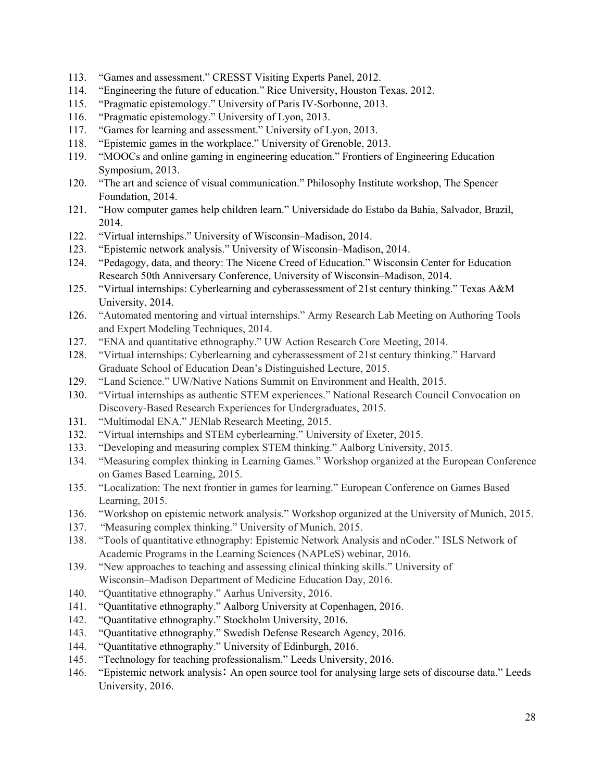- 113. "Games and assessment." CRESST Visiting Experts Panel, 2012.
- 114. "Engineering the future of education." Rice University, Houston Texas, 2012.
- 115. "Pragmatic epistemology." University of Paris IV-Sorbonne, 2013.
- 116. "Pragmatic epistemology." University of Lyon, 2013.
- 117. "Games for learning and assessment." University of Lyon, 2013.
- 118. "Epistemic games in the workplace." University of Grenoble, 2013.
- 119. "MOOCs and online gaming in engineering education." Frontiers of Engineering Education Symposium, 2013.
- 120. "The art and science of visual communication." Philosophy Institute workshop, The Spencer Foundation, 2014.
- 121. "How computer games help children learn." Universidade do Estabo da Bahia, Salvador, Brazil, 2014.
- 122. "Virtual internships." University of Wisconsin–Madison, 2014.
- 123. "Epistemic network analysis." University of Wisconsin–Madison, 2014.
- 124. "Pedagogy, data, and theory: The Nicene Creed of Education." Wisconsin Center for Education Research 50th Anniversary Conference, University of Wisconsin–Madison, 2014.
- 125. "Virtual internships: Cyberlearning and cyberassessment of 21st century thinking." Texas A&M University, 2014.
- 126. "Automated mentoring and virtual internships." Army Research Lab Meeting on Authoring Tools and Expert Modeling Techniques, 2014.
- 127. "ENA and quantitative ethnography." UW Action Research Core Meeting, 2014.
- 128. "Virtual internships: Cyberlearning and cyberassessment of 21st century thinking." Harvard Graduate School of Education Dean's Distinguished Lecture, 2015.
- 129. "Land Science." UW/Native Nations Summit on Environment and Health, 2015.
- 130. "Virtual internships as authentic STEM experiences." National Research Council Convocation on Discovery-Based Research Experiences for Undergraduates, 2015.
- 131. "Multimodal ENA." JENlab Research Meeting, 2015.
- 132. "Virtual internships and STEM cyberlearning." University of Exeter, 2015.
- 133. "Developing and measuring complex STEM thinking." Aalborg University, 2015.
- 134. "Measuring complex thinking in Learning Games." Workshop organized at the European Conference on Games Based Learning, 2015.
- 135. "Localization: The next frontier in games for learning." European Conference on Games Based Learning, 2015.
- 136. "Workshop on epistemic network analysis." Workshop organized at the University of Munich, 2015.
- 137. "Measuring complex thinking." University of Munich, 2015.
- 138. "Tools of quantitative ethnography: Epistemic Network Analysis and nCoder." ISLS Network of Academic Programs in the Learning Sciences (NAPLeS) webinar, 2016.
- 139. "New approaches to teaching and assessing clinical thinking skills." University of Wisconsin–Madison Department of Medicine Education Day, 2016.
- 140. "Quantitative ethnography." Aarhus University, 2016.
- 141. "Quantitative ethnography." Aalborg University at Copenhagen, 2016.
- 142. "Quantitative ethnography." Stockholm University, 2016.
- 143. "Quantitative ethnography." Swedish Defense Research Agency, 2016.
- 144. "Quantitative ethnography." University of Edinburgh, 2016.
- 145. "Technology for teaching professionalism." Leeds University, 2016.
- 146. "Epistemic network analysisː An open source tool for analysing large sets of discourse data." Leeds University, 2016.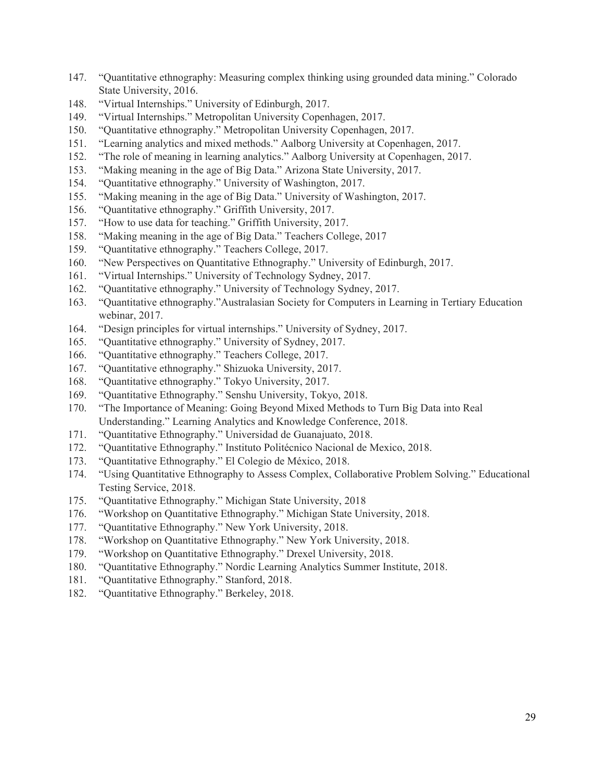- 147. "Quantitative ethnography: Measuring complex thinking using grounded data mining." Colorado State University, 2016.
- 148. "Virtual Internships." University of Edinburgh, 2017.
- 149. "Virtual Internships." Metropolitan University Copenhagen, 2017.
- 150. "Quantitative ethnography." Metropolitan University Copenhagen, 2017.
- 151. "Learning analytics and mixed methods." Aalborg University at Copenhagen, 2017.
- 152. "The role of meaning in learning analytics." Aalborg University at Copenhagen, 2017.
- 153. "Making meaning in the age of Big Data." Arizona State University, 2017.
- 154. "Quantitative ethnography." University of Washington, 2017.
- 155. "Making meaning in the age of Big Data." University of Washington, 2017.
- 156. "Quantitative ethnography." Griffith University, 2017.
- 157. "How to use data for teaching." Griffith University, 2017.
- 158. "Making meaning in the age of Big Data." Teachers College, 2017
- 159. "Quantitative ethnography." Teachers College, 2017.
- 160. "New Perspectives on Quantitative Ethnography." University of Edinburgh, 2017.
- 161. "Virtual Internships." University of Technology Sydney, 2017.
- 162. "Quantitative ethnography." University of Technology Sydney, 2017.
- 163. "Quantitative ethnography."Australasian Society for Computers in Learning in Tertiary Education webinar, 2017.
- 164. "Design principles for virtual internships." University of Sydney, 2017.
- 165. "Quantitative ethnography." University of Sydney, 2017.
- 166. "Quantitative ethnography." Teachers College, 2017.
- 167. "Quantitative ethnography." Shizuoka University, 2017.
- 168. "Quantitative ethnography." Tokyo University, 2017.
- 169. "Quantitative Ethnography." Senshu University, Tokyo, 2018.
- 170. "The Importance of Meaning: Going Beyond Mixed Methods to Turn Big Data into Real Understanding." Learning Analytics and Knowledge Conference, 2018.
- 171. "Quantitative Ethnography." Universidad de Guanajuato, 2018.
- 172. "Quantitative Ethnography." Instituto Politécnico Nacional de Mexico, 2018.
- 173. "Quantitative Ethnography." El Colegio de México, 2018.
- 174. "Using Quantitative Ethnography to Assess Complex, Collaborative Problem Solving." Educational Testing Service, 2018.
- 175. "Quantitative Ethnography." Michigan State University, 2018
- 176. "Workshop on Quantitative Ethnography." Michigan State University, 2018.
- 177. "Quantitative Ethnography." New York University, 2018.
- 178. "Workshop on Quantitative Ethnography." New York University, 2018.
- 179. "Workshop on Quantitative Ethnography." Drexel University, 2018.
- 180. "Quantitative Ethnography." Nordic Learning Analytics Summer Institute, 2018.
- 181. "Quantitative Ethnography." Stanford, 2018.
- 182. "Quantitative Ethnography." Berkeley, 2018.